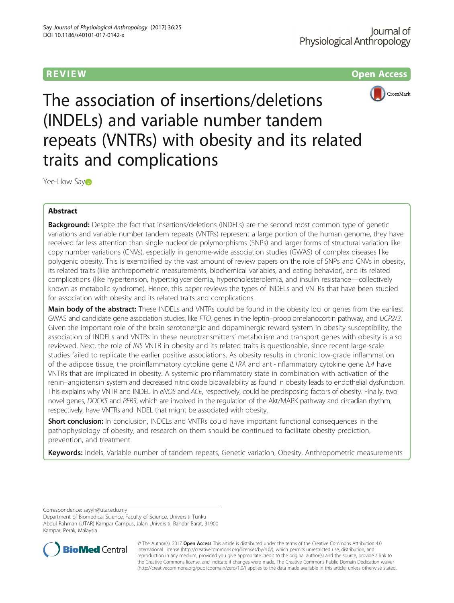**REVIEW CONSIDERING CONSIDERING CONSIDERING CONSIDERING CONSIDERING CONSIDERING CONSIDERING CONSIDERING CONSIDERING CONSIDERING CONSIDERING CONSIDERING CONSIDERING CONSIDERING CONSIDERING CONSIDERING CONSIDERING CONSIDER** 



The association of insertions/deletions (INDELs) and variable number tandem repeats (VNTRs) with obesity and its related traits and complications

Yee-How Say

# Abstract

**Background:** Despite the fact that insertions/deletions (INDELs) are the second most common type of genetic variations and variable number tandem repeats (VNTRs) represent a large portion of the human genome, they have received far less attention than single nucleotide polymorphisms (SNPs) and larger forms of structural variation like copy number variations (CNVs), especially in genome-wide association studies (GWAS) of complex diseases like polygenic obesity. This is exemplified by the vast amount of review papers on the role of SNPs and CNVs in obesity, its related traits (like anthropometric measurements, biochemical variables, and eating behavior), and its related complications (like hypertension, hypertriglyceridemia, hypercholesterolemia, and insulin resistance—collectively known as metabolic syndrome). Hence, this paper reviews the types of INDELs and VNTRs that have been studied for association with obesity and its related traits and complications.

Main body of the abstract: These INDELs and VNTRs could be found in the obesity loci or genes from the earliest GWAS and candidate gene association studies, like FTO, genes in the leptin–proopiomelanocortin pathway, and UCP2/3. Given the important role of the brain serotonergic and dopaminergic reward system in obesity susceptibility, the association of INDELs and VNTRs in these neurotransmitters' metabolism and transport genes with obesity is also reviewed. Next, the role of INS VNTR in obesity and its related traits is questionable, since recent large-scale studies failed to replicate the earlier positive associations. As obesity results in chronic low-grade inflammation of the adipose tissue, the proinflammatory cytokine gene IL1RA and anti-inflammatory cytokine gene IL4 have VNTRs that are implicated in obesity. A systemic proinflammatory state in combination with activation of the renin–angiotensin system and decreased nitric oxide bioavailability as found in obesity leads to endothelial dysfunction. This explains why VNTR and INDEL in eNOS and ACE, respectively, could be predisposing factors of obesity. Finally, two novel genes, DOCK5 and PER3, which are involved in the regulation of the Akt/MAPK pathway and circadian rhythm, respectively, have VNTRs and INDEL that might be associated with obesity.

**Short conclusion:** In conclusion, INDELs and VNTRs could have important functional consequences in the pathophysiology of obesity, and research on them should be continued to facilitate obesity prediction, prevention, and treatment.

Keywords: Indels, Variable number of tandem repeats, Genetic variation, Obesity, Anthropometric measurements

Correspondence: [sayyh@utar.edu.my](mailto:sayyh@utar.edu.my)

Department of Biomedical Science, Faculty of Science, Universiti Tunku Abdul Rahman (UTAR) Kampar Campus, Jalan Universiti, Bandar Barat, 31900 Kampar, Perak, Malaysia



© The Author(s). 2017 **Open Access** This article is distributed under the terms of the Creative Commons Attribution 4.0 International License [\(http://creativecommons.org/licenses/by/4.0/](http://creativecommons.org/licenses/by/4.0/)), which permits unrestricted use, distribution, and reproduction in any medium, provided you give appropriate credit to the original author(s) and the source, provide a link to the Creative Commons license, and indicate if changes were made. The Creative Commons Public Domain Dedication waiver [\(http://creativecommons.org/publicdomain/zero/1.0/](http://creativecommons.org/publicdomain/zero/1.0/)) applies to the data made available in this article, unless otherwise stated.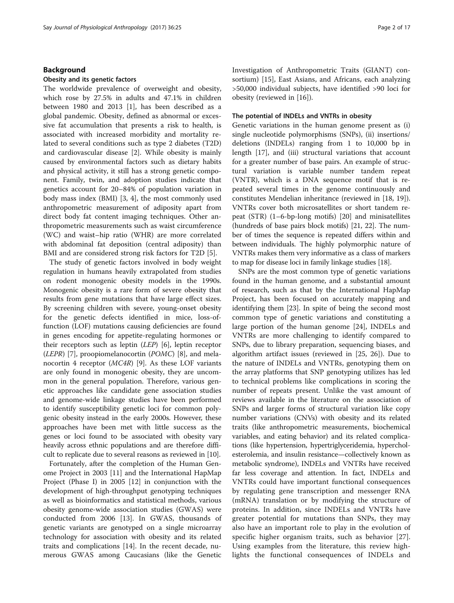# Background

# Obesity and its genetic factors

The worldwide prevalence of overweight and obesity, which rose by 27.5% in adults and 47.1% in children between 1980 and 2013 [\[1](#page-11-0)], has been described as a global pandemic. Obesity, defined as abnormal or excessive fat accumulation that presents a risk to health, is associated with increased morbidity and mortality related to several conditions such as type 2 diabetes (T2D) and cardiovascular disease [\[2](#page-11-0)]. While obesity is mainly caused by environmental factors such as dietary habits and physical activity, it still has a strong genetic component. Family, twin, and adoption studies indicate that genetics account for 20–84% of population variation in body mass index (BMI) [[3, 4](#page-11-0)], the most commonly used anthropometric measurement of adiposity apart from direct body fat content imaging techniques. Other anthropometric measurements such as waist circumference (WC) and waist–hip ratio (WHR) are more correlated with abdominal fat deposition (central adiposity) than BMI and are considered strong risk factors for T2D [[5\]](#page-11-0).

The study of genetic factors involved in body weight regulation in humans heavily extrapolated from studies on rodent monogenic obesity models in the 1990s. Monogenic obesity is a rare form of severe obesity that results from gene mutations that have large effect sizes. By screening children with severe, young-onset obesity for the genetic defects identified in mice, loss-offunction (LOF) mutations causing deficiencies are found in genes encoding for appetite-regulating hormones or their receptors such as leptin (LEP) [[6\]](#page-11-0), leptin receptor (*LEPR*) [[7\]](#page-11-0), proopiomelanocortin (*POMC*) [[8\]](#page-11-0), and melanocortin 4 receptor (MC4R) [\[9](#page-11-0)]. As these LOF variants are only found in monogenic obesity, they are uncommon in the general population. Therefore, various genetic approaches like candidate gene association studies and genome-wide linkage studies have been performed to identify susceptibility genetic loci for common polygenic obesity instead in the early 2000s. However, these approaches have been met with little success as the genes or loci found to be associated with obesity vary heavily across ethnic populations and are therefore difficult to replicate due to several reasons as reviewed in [[10](#page-11-0)].

Fortunately, after the completion of the Human Genome Project in 2003 [\[11](#page-11-0)] and the International HapMap Project (Phase I) in 2005 [[12\]](#page-11-0) in conjunction with the development of high-throughput genotyping techniques as well as bioinformatics and statistical methods, various obesity genome-wide association studies (GWAS) were conducted from 2006 [[13\]](#page-11-0). In GWAS, thousands of genetic variants are genotyped on a single microarray technology for association with obesity and its related traits and complications [\[14](#page-11-0)]. In the recent decade, numerous GWAS among Caucasians (like the Genetic Investigation of Anthropometric Traits (GIANT) consortium) [[15](#page-11-0)], East Asians, and Africans, each analyzing >50,000 individual subjects, have identified >90 loci for obesity (reviewed in [\[16](#page-11-0)]).

# The potential of INDELs and VNTRs in obesity

Genetic variations in the human genome present as (i) single nucleotide polymorphisms (SNPs), (ii) insertions/ deletions (INDELs) ranging from 1 to 10,000 bp in length [\[17](#page-11-0)], and (iii) structural variations that account for a greater number of base pairs. An example of structural variation is variable number tandem repeat (VNTR), which is a DNA sequence motif that is repeated several times in the genome continuously and constitutes Mendelian inheritance (reviewed in [[18, 19](#page-11-0)]). VNTRs cover both microsatellites or short tandem repeat (STR) (1–6-bp-long motifs) [[20\]](#page-11-0) and minisatellites (hundreds of base pairs block motifs) [[21](#page-11-0), [22](#page-11-0)]. The number of times the sequence is repeated differs within and between individuals. The highly polymorphic nature of VNTRs makes them very informative as a class of markers to map for disease loci in family linkage studies [\[18\]](#page-11-0).

SNPs are the most common type of genetic variations found in the human genome, and a substantial amount of research, such as that by the International HapMap Project, has been focused on accurately mapping and identifying them [\[23](#page-11-0)]. In spite of being the second most common type of genetic variations and constituting a large portion of the human genome [[24](#page-11-0)], INDELs and VNTRs are more challenging to identify compared to SNPs, due to library preparation, sequencing biases, and algorithm artifact issues (reviewed in [[25](#page-12-0), [26\]](#page-12-0)). Due to the nature of INDELs and VNTRs, genotyping them on the array platforms that SNP genotyping utilizes has led to technical problems like complications in scoring the number of repeats present. Unlike the vast amount of reviews available in the literature on the association of SNPs and larger forms of structural variation like copy number variations (CNVs) with obesity and its related traits (like anthropometric measurements, biochemical variables, and eating behavior) and its related complications (like hypertension, hypertriglyceridemia, hypercholesterolemia, and insulin resistance—collectively known as metabolic syndrome), INDELs and VNTRs have received far less coverage and attention. In fact, INDELs and VNTRs could have important functional consequences by regulating gene transcription and messenger RNA (mRNA) translation or by modifying the structure of proteins. In addition, since INDELs and VNTRs have greater potential for mutations than SNPs, they may also have an important role to play in the evolution of specific higher organism traits, such as behavior [\[27](#page-12-0)]. Using examples from the literature, this review highlights the functional consequences of INDELs and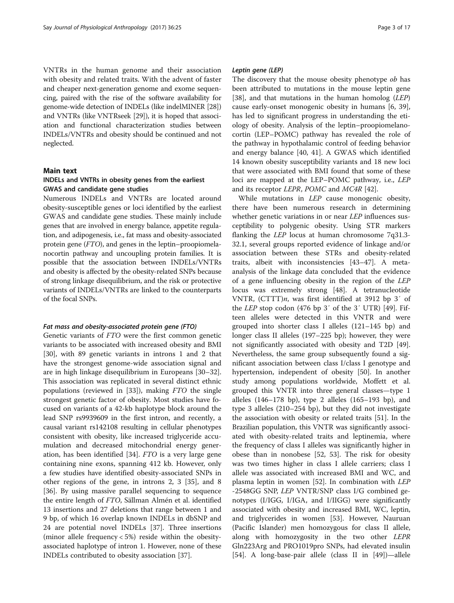VNTRs in the human genome and their association with obesity and related traits. With the advent of faster and cheaper next-generation genome and exome sequencing, paired with the rise of the software availability for genome-wide detection of INDELs (like indelMINER [[28](#page-12-0)]) and VNTRs (like VNTRseek [\[29\]](#page-12-0)), it is hoped that association and functional characterization studies between INDELs/VNTRs and obesity should be continued and not neglected.

# Main text

# INDELs and VNTRs in obesity genes from the earliest GWAS and candidate gene studies

Numerous INDELs and VNTRs are located around obesity-susceptible genes or loci identified by the earliest GWAS and candidate gene studies. These mainly include genes that are involved in energy balance, appetite regulation, and adipogenesis, i.e., fat mass and obesity-associated protein gene (FTO), and genes in the leptin–proopiomelanocortin pathway and uncoupling protein families. It is possible that the association between INDELs/VNTRs and obesity is affected by the obesity-related SNPs because of strong linkage disequilibrium, and the risk or protective variants of INDELs/VNTRs are linked to the counterparts of the focal SNPs.

### Fat mass and obesity-associated protein gene (FTO)

Genetic variants of FTO were the first common genetic variants to be associated with increased obesity and BMI [[30\]](#page-12-0), with 89 genetic variants in introns 1 and 2 that have the strongest genome-wide association signal and are in high linkage disequilibrium in Europeans [[30](#page-12-0)–[32](#page-12-0)]. This association was replicated in several distinct ethnic populations (reviewed in [[33\]](#page-12-0)), making FTO the single strongest genetic factor of obesity. Most studies have focused on variants of a 42-kb haplotype block around the lead SNP rs9939609 in the first intron, and recently, a causal variant rs142108 resulting in cellular phenotypes consistent with obesity, like increased triglyceride accumulation and decreased mitochondrial energy generation, has been identified [[34](#page-12-0)]. FTO is a very large gene containing nine exons, spanning 412 kb. However, only a few studies have identified obesity-associated SNPs in other regions of the gene, in introns 2, 3 [[35\]](#page-12-0), and 8 [[36\]](#page-12-0). By using massive parallel sequencing to sequence the entire length of FTO, Sällman Almén et al. identified 13 insertions and 27 deletions that range between 1 and 9 bp, of which 16 overlap known INDELs in dbSNP and 24 are potential novel INDELs [\[37](#page-12-0)]. Three insertions (minor allele frequency < 5%) reside within the obesityassociated haplotype of intron 1. However, none of these INDELs contributed to obesity association [[37](#page-12-0)].

### Leptin gene (LEP)

The discovery that the mouse obesity phenotype *ob* has been attributed to mutations in the mouse leptin gene [[38\]](#page-12-0), and that mutations in the human homolog (*LEP*) cause early-onset monogenic obesity in humans [[6](#page-11-0), [39](#page-12-0)], has led to significant progress in understanding the etiology of obesity. Analysis of the leptin–proopiomelanocortin (LEP–POMC) pathway has revealed the role of the pathway in hypothalamic control of feeding behavior and energy balance [[40](#page-12-0), [41](#page-12-0)]. A GWAS which identified 14 known obesity susceptibility variants and 18 new loci that were associated with BMI found that some of these loci are mapped at the LEP–POMC pathway, i.e., LEP and its receptor LEPR, POMC and MC4R [\[42](#page-12-0)].

While mutations in LEP cause monogenic obesity, there have been numerous research in determining whether genetic variations in or near LEP influences susceptibility to polygenic obesity. Using STR markers flanking the LEP locus at human chromosome 7q31.3- 32.1, several groups reported evidence of linkage and/or association between these STRs and obesity-related traits, albeit with inconsistencies [\[43](#page-12-0)–[47\]](#page-12-0). A metaanalysis of the linkage data concluded that the evidence of a gene influencing obesity in the region of the LEP locus was extremely strong [\[48\]](#page-12-0). A tetranucleotide VNTR,  $(CTTT)n$ , was first identified at 3912 bp 3' of the LEP stop codon (476 bp 3′ of the 3′ UTR) [[49\]](#page-12-0). Fifteen alleles were detected in this VNTR and were grouped into shorter class I alleles (121–145 bp) and longer class II alleles (197–225 bp); however, they were not significantly associated with obesity and T2D [\[49](#page-12-0)]. Nevertheless, the same group subsequently found a significant association between class I/class I genotype and hypertension, independent of obesity [\[50](#page-12-0)]. In another study among populations worldwide, Moffett et al. grouped this VNTR into three general classes—type 1 alleles (146–178 bp), type 2 alleles (165–193 bp), and type 3 alleles (210–254 bp), but they did not investigate the association with obesity or related traits [[51](#page-12-0)]. In the Brazilian population, this VNTR was significantly associated with obesity-related traits and leptinemia, where the frequency of class I alleles was significantly higher in obese than in nonobese [[52](#page-12-0), [53](#page-12-0)]. The risk for obesity was two times higher in class I allele carriers; class I allele was associated with increased BMI and WC, and plasma leptin in women [\[52](#page-12-0)]. In combination with LEP -2548GG SNP, LEP VNTR/SNP class I/G combined genotypes (I/IGG, I/IGA, and I/IIGG) were significantly associated with obesity and increased BMI, WC, leptin, and triglycerides in women [\[53](#page-12-0)]. However, Nauruan (Pacific Islander) men homozygous for class II allele, along with homozygosity in the two other LEPR Gln223Arg and PRO1019pro SNPs, had elevated insulin [[54\]](#page-12-0). A long-base-pair allele (class II in [[49](#page-12-0)])—allele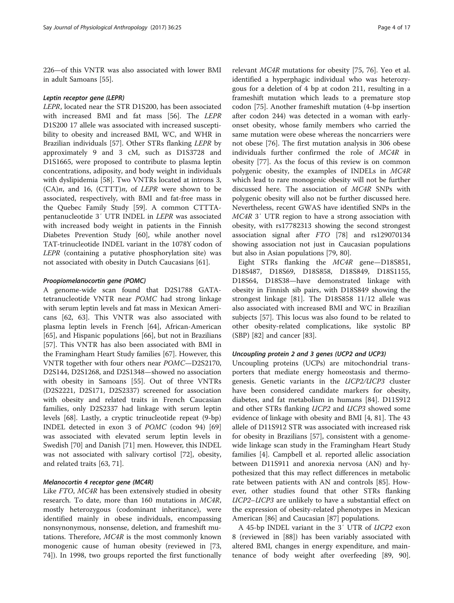226—of this VNTR was also associated with lower BMI in adult Samoans [[55](#page-12-0)].

# Leptin receptor gene (LEPR)

LEPR, located near the STR D1S200, has been associated with increased BMI and fat mass [[56\]](#page-12-0). The LEPR D1S200 17 allele was associated with increased susceptibility to obesity and increased BMI, WC, and WHR in Brazilian individuals [[57\]](#page-12-0). Other STRs flanking LEPR by approximately 9 and 3 cM, such as D1S3728 and D1S1665, were proposed to contribute to plasma leptin concentrations, adiposity, and body weight in individuals with dyslipidemia [[58\]](#page-12-0). Two VNTRs located at introns 3,  $(CA)n$ , and 16,  $(CTTT)n$ , of LEPR were shown to be associated, respectively, with BMI and fat-free mass in the Quebec Family Study [[59\]](#page-12-0). A common CTTTApentanucleotide 3′ UTR INDEL in LEPR was associated with increased body weight in patients in the Finnish Diabetes Prevention Study [\[60](#page-12-0)], while another novel TAT-trinucleotide INDEL variant in the 1078Y codon of LEPR (containing a putative phosphorylation site) was not associated with obesity in Dutch Caucasians [\[61](#page-12-0)].

## Proopiomelanocortin gene (POMC)

A genome-wide scan found that D2S1788 GATAtetranucleotide VNTR near POMC had strong linkage with serum leptin levels and fat mass in Mexican Americans [\[62, 63](#page-12-0)]. This VNTR was also associated with plasma leptin levels in French [\[64](#page-12-0)], African-American [[65\]](#page-12-0), and Hispanic populations [[66\]](#page-12-0), but not in Brazilians [[57\]](#page-12-0). This VNTR has also been associated with BMI in the Framingham Heart Study families [[67\]](#page-12-0). However, this VNTR together with four others near POMC—D2S2170, D2S144, D2S1268, and D2S1348—showed no association with obesity in Samoans [\[55](#page-12-0)]. Out of three VNTRs (D2S2221, D2S171, D2S2337) screened for association with obesity and related traits in French Caucasian families, only D2S2337 had linkage with serum leptin levels [[68\]](#page-12-0). Lastly, a cryptic trinucleotide repeat (9-bp) INDEL detected in exon 3 of POMC (codon 94) [[69](#page-12-0)] was associated with elevated serum leptin levels in Swedish [[70\]](#page-12-0) and Danish [\[71](#page-12-0)] men. However, this INDEL was not associated with salivary cortisol [[72](#page-12-0)], obesity, and related traits [\[63](#page-12-0), [71](#page-12-0)].

# Melanocortin 4 receptor gene (MC4R)

Like FTO, MC4R has been extensively studied in obesity research. To date, more than 160 mutations in MC4R, mostly heterozygous (codominant inheritance), were identified mainly in obese individuals, encompassing nonsynonymous, nonsense, deletion, and frameshift mutations. Therefore, MC4R is the most commonly known monogenic cause of human obesity (reviewed in [[73](#page-12-0), [74\]](#page-12-0)). In 1998, two groups reported the first functionally

relevant MC4R mutations for obesity [\[75](#page-12-0), [76\]](#page-12-0). Yeo et al. identified a hyperphagic individual who was heterozygous for a deletion of 4 bp at codon 211, resulting in a frameshift mutation which leads to a premature stop codon [\[75](#page-12-0)]. Another frameshift mutation (4-bp insertion after codon 244) was detected in a woman with earlyonset obesity, whose family members who carried the same mutation were obese whereas the noncarriers were not obese [[76](#page-12-0)]. The first mutation analysis in 306 obese individuals further confirmed the role of MC4R in obesity [\[77](#page-12-0)]. As the focus of this review is on common polygenic obesity, the examples of INDELs in MC4R which lead to rare monogenic obesity will not be further discussed here. The association of MC4R SNPs with polygenic obesity will also not be further discussed here. Nevertheless, recent GWAS have identified SNPs in the MC4R 3′ UTR region to have a strong association with obesity, with rs17782313 showing the second strongest association signal after FTO [[78\]](#page-12-0) and rs129070134 showing association not just in Caucasian populations but also in Asian populations [\[79, 80\]](#page-13-0).

Eight STRs flanking the MC4R gene—D18S851, D18S487, D18S69, D18S858, D18S849, D18S1155, D18S64, D18S38—have demonstrated linkage with obesity in Finnish sib pairs, with D18S849 showing the strongest linkage [[81\]](#page-13-0). The D18S858 11/12 allele was also associated with increased BMI and WC in Brazilian subjects [[57\]](#page-12-0). This locus was also found to be related to other obesity-related complications, like systolic BP (SBP) [[82](#page-13-0)] and cancer [\[83](#page-13-0)].

# Uncoupling protein 2 and 3 genes (UCP2 and UCP3)

Uncoupling proteins (UCPs) are mitochondrial transporters that mediate energy homeostasis and thermogenesis. Genetic variants in the UCP2/UCP3 cluster have been considered candidate markers for obesity, diabetes, and fat metabolism in humans [\[84](#page-13-0)]. D11S912 and other STRs flanking UCP2 and UCP3 showed some evidence of linkage with obesity and BMI [\[4](#page-11-0), [81](#page-13-0)]. The 43 allele of D11S912 STR was associated with increased risk for obesity in Brazilians [[57\]](#page-12-0), consistent with a genomewide linkage scan study in the Framingham Heart Study families [[4](#page-11-0)]. Campbell et al. reported allelic association between D11S911 and anorexia nervosa (AN) and hypothesized that this may reflect differences in metabolic rate between patients with AN and controls [[85](#page-13-0)]. However, other studies found that other STRs flanking UCP2–UCP3 are unlikely to have a substantial effect on the expression of obesity-related phenotypes in Mexican American [[86\]](#page-13-0) and Caucasian [\[87\]](#page-13-0) populations.

A 45-bp INDEL variant in the 3′ UTR of UCP2 exon 8 (reviewed in [[88](#page-13-0)]) has been variably associated with altered BMI, changes in energy expenditure, and maintenance of body weight after overfeeding [\[89, 90](#page-13-0)].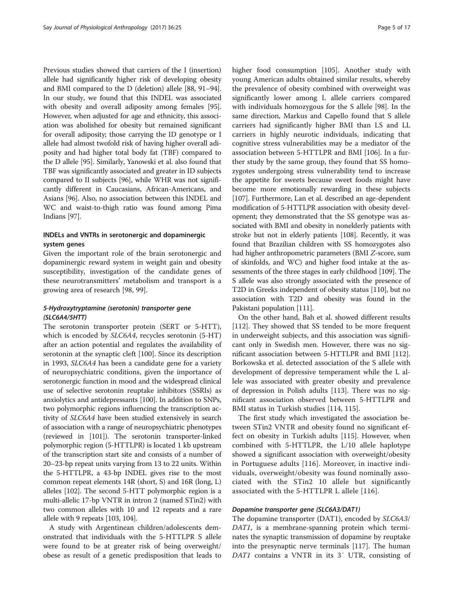Previous studies showed that carriers of the I (insertion) allele had significantly higher risk of developing obesity and BMI compared to the D (deletion) allele [\[88, 91](#page-13-0)–[94](#page-13-0)]. In our study, we found that this INDEL was associated with obesity and overall adiposity among females [[95](#page-13-0)]. However, when adjusted for age and ethnicity, this association was abolished for obesity but remained significant for overall adiposity; those carrying the ID genotype or I allele had almost twofold risk of having higher overall adiposity and had higher total body fat (TBF) compared to the D allele [[95\]](#page-13-0). Similarly, Yanowski et al. also found that TBF was significantly associated and greater in ID subjects compared to II subjects [\[96\]](#page-13-0), while WHR was not significantly different in Caucasians, African-Americans, and Asians [\[96\]](#page-13-0). Also, no association between this INDEL and WC and waist-to-thigh ratio was found among Pima Indians [[97](#page-13-0)].

# INDELs and VNTRs in serotonergic and dopaminergic system genes

Given the important role of the brain serotonergic and dopaminergic reward system in weight gain and obesity susceptibility, investigation of the candidate genes of these neurotransmitters' metabolism and transport is a growing area of research [[98](#page-13-0), [99](#page-13-0)].

# 5-Hydroxytryptamine (serotonin) transporter gene (SLC6A4/5HTT)

The serotonin transporter protein (SERT or 5-HTT), which is encoded by SLC6A4, recycles serotonin (5-HT) after an action potential and regulates the availability of serotonin at the synaptic cleft [[100](#page-13-0)]. Since its description in 1993, SLC6A4 has been a candidate gene for a variety of neuropsychiatric conditions, given the importance of serotonergic function in mood and the widespread clinical use of selective serotonin reuptake inhibitors (SSRIs) as anxiolytics and antidepressants [[100](#page-13-0)]. In addition to SNPs, two polymorphic regions influencing the transcription activity of SLC6A4 have been studied extensively in search of association with a range of neuropsychiatric phenotypes (reviewed in [\[101\]](#page-13-0)). The serotonin transporter-linked polymorphic region (5-HTTLPR) is located 1 kb upstream of the transcription start site and consists of a number of 20–23-bp repeat units varying from 13 to 22 units. Within the 5-HTTLPR, a 43-bp INDEL gives rise to the most common repeat elements 14R (short, S) and 16R (long, L) alleles [\[102\]](#page-13-0). The second 5-HTT polymorphic region is a multi-allelic 17-bp VNTR in intron 2 (named STin2) with two common alleles with 10 and 12 repeats and a rare allele with 9 repeats [[103](#page-13-0), [104](#page-13-0)].

A study with Argentinean children/adolescents demonstrated that individuals with the 5-HTTLPR S allele were found to be at greater risk of being overweight/ obese as result of a genetic predisposition that leads to higher food consumption [\[105](#page-13-0)]. Another study with young American adults obtained similar results, whereby the prevalence of obesity combined with overweight was significantly lower among L allele carriers compared with individuals homozygous for the S allele [\[98\]](#page-13-0). In the same direction, Markus and Capello found that S allele carriers had significantly higher BMI than LS and LL carriers in highly neurotic individuals, indicating that cognitive stress vulnerabilities may be a mediator of the association between 5-HTTLPR and BMI [\[106\]](#page-13-0). In a further study by the same group, they found that SS homozygotes undergoing stress vulnerability tend to increase the appetite for sweets because sweet foods might have become more emotionally rewarding in these subjects [[107](#page-13-0)]. Furthermore, Lan et al. described an age-dependent modification of 5-HTTLPR association with obesity development; they demonstrated that the SS genotype was associated with BMI and obesity in nonelderly patients with stroke but not in elderly patients [[108](#page-13-0)]. Recently, it was found that Brazilian children with SS homozygotes also had higher anthropometric parameters (BMI Z-score, sum of skinfolds, and WC) and higher food intake at the assessments of the three stages in early childhood [\[109\]](#page-13-0). The S allele was also strongly associated with the presence of T2D in Greeks independent of obesity status [[110](#page-13-0)], but no association with T2D and obesity was found in the Pakistani population [\[111\]](#page-13-0).

On the other hand, Bah et al. showed different results [[112\]](#page-13-0). They showed that SS tended to be more frequent in underweight subjects, and this association was significant only in Swedish men. However, there was no significant association between 5-HTTLPR and BMI [[112](#page-13-0)]. Borkowska et al. detected association of the S allele with development of depressive temperament while the L allele was associated with greater obesity and prevalence of depression in Polish adults [\[113](#page-13-0)]. There was no significant association observed between 5-HTTLPR and BMI status in Turkish studies [[114](#page-13-0), [115](#page-13-0)].

The first study which investigated the association between STin2 VNTR and obesity found no significant effect on obesity in Turkish adults [\[115](#page-13-0)]. However, when combined with 5-HTTLPR, the L/10 allele haplotype showed a significant association with overweight/obesity in Portuguese adults [[116\]](#page-13-0). Moreover, in inactive individuals, overweight/obesity was found nominally associated with the STin2 10 allele but significantly associated with the 5-HTTLPR L allele [[116](#page-13-0)].

# Dopamine transporter gene (SLC6A3/DAT1)

The dopamine transporter (DAT1), encoded by SLC6A3/ DAT1, is a membrane-spanning protein which terminates the synaptic transmission of dopamine by reuptake into the presynaptic nerve terminals [\[117](#page-13-0)]. The human DAT1 contains a VNTR in its 3' UTR, consisting of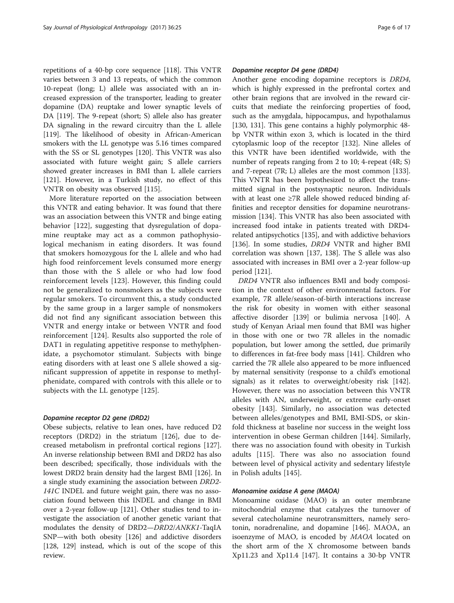repetitions of a 40-bp core sequence [[118\]](#page-13-0). This VNTR varies between 3 and 13 repeats, of which the common 10-repeat (long; L) allele was associated with an increased expression of the transporter, leading to greater dopamine (DA) reuptake and lower synaptic levels of DA [[119](#page-13-0)]. The 9-repeat (short; S) allele also has greater DA signaling in the reward circuitry than the L allele [[119\]](#page-13-0). The likelihood of obesity in African-American smokers with the LL genotype was 5.16 times compared with the SS or SL genotypes [\[120\]](#page-13-0). This VNTR was also associated with future weight gain; S allele carriers showed greater increases in BMI than L allele carriers [[121\]](#page-13-0). However, in a Turkish study, no effect of this VNTR on obesity was observed [\[115](#page-13-0)].

More literature reported on the association between this VNTR and eating behavior. It was found that there was an association between this VNTR and binge eating behavior [[122](#page-13-0)], suggesting that dysregulation of dopamine reuptake may act as a common pathophysiological mechanism in eating disorders. It was found that smokers homozygous for the L allele and who had high food reinforcement levels consumed more energy than those with the S allele or who had low food reinforcement levels [[123\]](#page-13-0). However, this finding could not be generalized to nonsmokers as the subjects were regular smokers. To circumvent this, a study conducted by the same group in a larger sample of nonsmokers did not find any significant association between this VNTR and energy intake or between VNTR and food reinforcement [[124\]](#page-13-0). Results also supported the role of DAT1 in regulating appetitive response to methylphenidate, a psychomotor stimulant. Subjects with binge eating disorders with at least one S allele showed a significant suppression of appetite in response to methylphenidate, compared with controls with this allele or to subjects with the LL genotype [\[125](#page-13-0)].

# Dopamine receptor D2 gene (DRD2)

Obese subjects, relative to lean ones, have reduced D2 receptors (DRD2) in the striatum [\[126](#page-13-0)], due to decreased metabolism in prefrontal cortical regions [\[127](#page-13-0)]. An inverse relationship between BMI and DRD2 has also been described; specifically, those individuals with the lowest DRD2 brain density had the largest BMI [[126](#page-13-0)]. In a single study examining the association between DRD2- 141C INDEL and future weight gain, there was no association found between this INDEL and change in BMI over a 2-year follow-up [\[121](#page-13-0)]. Other studies tend to investigate the association of another genetic variant that modulates the density of DRD2—DRD2/ANKK1-TaqIA SNP—with both obesity [[126\]](#page-13-0) and addictive disorders [[128, 129\]](#page-13-0) instead, which is out of the scope of this review.

# Dopamine receptor D4 gene (DRD4)

Another gene encoding dopamine receptors is DRD4, which is highly expressed in the prefrontal cortex and other brain regions that are involved in the reward circuits that mediate the reinforcing properties of food, such as the amygdala, hippocampus, and hypothalamus [[130, 131\]](#page-13-0). This gene contains a highly polymorphic 48bp VNTR within exon 3, which is located in the third cytoplasmic loop of the receptor [\[132\]](#page-14-0). Nine alleles of this VNTR have been identified worldwide, with the number of repeats ranging from 2 to 10; 4-repeat (4R; S) and 7-repeat (7R; L) alleles are the most common [[133](#page-14-0)]. This VNTR has been hypothesized to affect the transmitted signal in the postsynaptic neuron. Individuals with at least one ≥7R allele showed reduced binding affinities and receptor densities for dopamine neurotransmission [[134](#page-14-0)]. This VNTR has also been associated with increased food intake in patients treated with DRD4 related antipsychotics [\[135\]](#page-14-0), and with addictive behaviors [[136\]](#page-14-0). In some studies, *DRD4* VNTR and higher BMI correlation was shown [[137](#page-14-0), [138\]](#page-14-0). The S allele was also associated with increases in BMI over a 2-year follow-up period [\[121\]](#page-13-0).

DRD4 VNTR also influences BMI and body composition in the context of other environmental factors. For example, 7R allele/season-of-birth interactions increase the risk for obesity in women with either seasonal affective disorder [[139\]](#page-14-0) or bulimia nervosa [\[140\]](#page-14-0). A study of Kenyan Ariaal men found that BMI was higher in those with one or two 7R alleles in the nomadic population, but lower among the settled, due primarily to differences in fat-free body mass [\[141](#page-14-0)]. Children who carried the 7R allele also appeared to be more influenced by maternal sensitivity (response to a child's emotional signals) as it relates to overweight/obesity risk [[142](#page-14-0)]. However, there was no association between this VNTR alleles with AN, underweight, or extreme early-onset obesity [[143\]](#page-14-0). Similarly, no association was detected between alleles/genotypes and BMI, BMI-SDS, or skinfold thickness at baseline nor success in the weight loss intervention in obese German children [[144\]](#page-14-0). Similarly, there was no association found with obesity in Turkish adults [[115\]](#page-13-0). There was also no association found between level of physical activity and sedentary lifestyle in Polish adults [\[145](#page-14-0)].

# Monoamine oxidase A gene (MAOA)

Monoamine oxidase (MAO) is an outer membrane mitochondrial enzyme that catalyzes the turnover of several catecholamine neurotransmitters, namely serotonin, noradrenaline, and dopamine [[146](#page-14-0)]. MAOA, an isoenzyme of MAO, is encoded by MAOA located on the short arm of the X chromosome between bands Xp11.23 and Xp11.4 [\[147](#page-14-0)]. It contains a 30-bp VNTR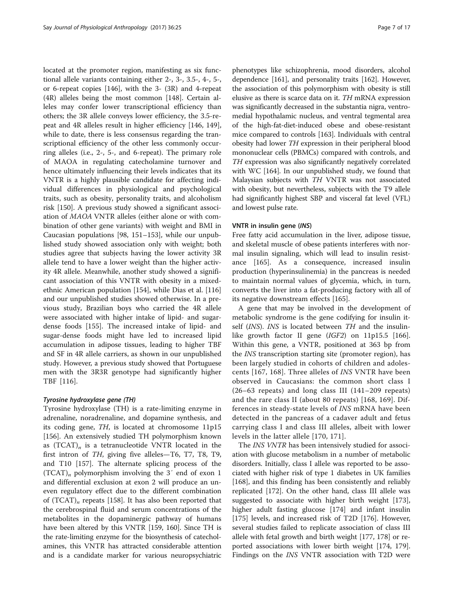located at the promoter region, manifesting as six functional allele variants containing either 2-, 3-, 3.5-, 4-, 5-, or 6-repeat copies [\[146\]](#page-14-0), with the 3- (3R) and 4-repeat (4R) alleles being the most common [[148](#page-14-0)]. Certain alleles may confer lower transcriptional efficiency than others; the 3R allele conveys lower efficiency, the 3.5-repeat and 4R alleles result in higher efficiency [\[146, 149](#page-14-0)], while to date, there is less consensus regarding the transcriptional efficiency of the other less commonly occurring alleles (i.e., 2-, 5-, and 6-repeat). The primary role of MAOA in regulating catecholamine turnover and hence ultimately influencing their levels indicates that its VNTR is a highly plausible candidate for affecting individual differences in physiological and psychological traits, such as obesity, personality traits, and alcoholism risk [\[150\]](#page-14-0). A previous study showed a significant association of MAOA VNTR alleles (either alone or with combination of other gene variants) with weight and BMI in Caucasian populations [[98,](#page-13-0) [151](#page-14-0)–[153\]](#page-14-0), while our unpublished study showed association only with weight; both studies agree that subjects having the lower activity 3R allele tend to have a lower weight than the higher activity 4R allele. Meanwhile, another study showed a significant association of this VNTR with obesity in a mixedethnic American population [\[154\]](#page-14-0), while Dias et al. [[116](#page-13-0)] and our unpublished studies showed otherwise. In a previous study, Brazilian boys who carried the 4R allele were associated with higher intake of lipid- and sugardense foods [\[155](#page-14-0)]. The increased intake of lipid- and sugar-dense foods might have led to increased lipid accumulation in adipose tissues, leading to higher TBF and SF in 4R allele carriers, as shown in our unpublished study. However, a previous study showed that Portuguese men with the 3R3R genotype had significantly higher TBF [[116\]](#page-13-0).

# Tyrosine hydroxylase gene (TH)

Tyrosine hydroxylase (TH) is a rate-limiting enzyme in adrenaline, noradrenaline, and dopamine synthesis, and its coding gene, TH, is located at chromosome 11p15 [[156\]](#page-14-0). An extensively studied TH polymorphism known as  $(TCAT)_n$  is a tetranucleotide VNTR located in the first intron of TH, giving five alleles—T6, T7, T8, T9, and T10 [[157](#page-14-0)]. The alternate splicing process of the  $(TCAT)$ <sub>n</sub> polymorphism involving the 3' end of exon 1 and differential exclusion at exon 2 will produce an uneven regulatory effect due to the different combination of  $(TCAT)$ <sub>n</sub> repeats [[158\]](#page-14-0). It has also been reported that the cerebrospinal fluid and serum concentrations of the metabolites in the dopaminergic pathway of humans have been altered by this VNTR [[159](#page-14-0), [160\]](#page-14-0). Since TH is the rate-limiting enzyme for the biosynthesis of catecholamines, this VNTR has attracted considerable attention and is a candidate marker for various neuropsychiatric

phenotypes like schizophrenia, mood disorders, alcohol dependence [\[161](#page-14-0)], and personality traits [\[162](#page-14-0)]. However, the association of this polymorphism with obesity is still elusive as there is scarce data on it. TH mRNA expression was significantly decreased in the substantia nigra, ventromedial hypothalamic nucleus, and ventral tegmental area of the high-fat-diet-induced obese and obese-resistant mice compared to controls [\[163](#page-14-0)]. Individuals with central obesity had lower TH expression in their peripheral blood mononuclear cells (PBMCs) compared with controls, and TH expression was also significantly negatively correlated with WC [[164](#page-14-0)]. In our unpublished study, we found that Malaysian subjects with TH VNTR was not associated with obesity, but nevertheless, subjects with the T9 allele had significantly highest SBP and visceral fat level (VFL) and lowest pulse rate.

# VNTR in insulin gene (INS)

Free fatty acid accumulation in the liver, adipose tissue, and skeletal muscle of obese patients interferes with normal insulin signaling, which will lead to insulin resistance [[165\]](#page-14-0). As a consequence, increased insulin production (hyperinsulinemia) in the pancreas is needed to maintain normal values of glycemia, which, in turn, converts the liver into a fat-producing factory with all of its negative downstream effects [\[165\]](#page-14-0).

A gene that may be involved in the development of metabolic syndrome is the gene codifying for insulin itself (INS). INS is located between TH and the insulin-like growth factor II gene (IGF2) on 11p15.5 [[166](#page-14-0)]. Within this gene, a VNTR, positioned at 363 bp from the INS transcription starting site (promoter region), has been largely studied in cohorts of children and adolescents [\[167, 168](#page-14-0)]. Three alleles of INS VNTR have been observed in Caucasians: the common short class I (26–63 repeats) and long class III (141–209 repeats) and the rare class II (about 80 repeats) [[168](#page-14-0), [169](#page-14-0)]. Differences in steady-state levels of INS mRNA have been detected in the pancreas of a cadaver adult and fetus carrying class I and class III alleles, albeit with lower levels in the latter allele [[170, 171](#page-14-0)].

The INS VNTR has been intensively studied for association with glucose metabolism in a number of metabolic disorders. Initially, class I allele was reported to be associated with higher risk of type 1 diabetes in UK families [[168\]](#page-14-0), and this finding has been consistently and reliably replicated [[172\]](#page-14-0). On the other hand, class III allele was suggested to associate with higher birth weight [[173](#page-14-0)], higher adult fasting glucose [\[174\]](#page-14-0) and infant insulin [[175\]](#page-14-0) levels, and increased risk of T2D [[176](#page-14-0)]. However, several studies failed to replicate association of class III allele with fetal growth and birth weight [[177](#page-14-0), [178](#page-14-0)] or reported associations with lower birth weight [\[174, 179](#page-14-0)]. Findings on the INS VNTR association with T2D were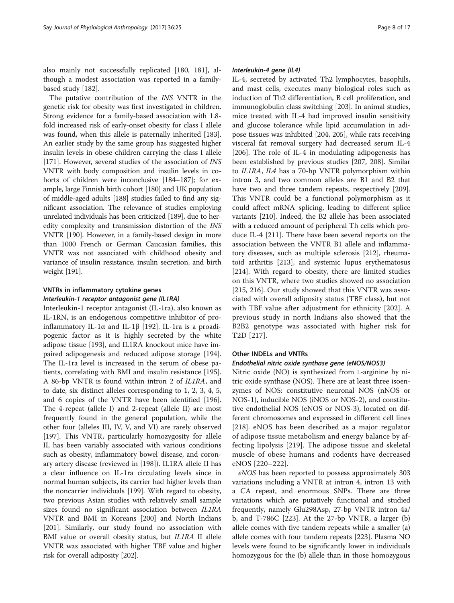also mainly not successfully replicated [\[180, 181](#page-15-0)], although a modest association was reported in a familybased study [[182](#page-15-0)].

The putative contribution of the INS VNTR in the genetic risk for obesity was first investigated in children. Strong evidence for a family-based association with 1.8 fold increased risk of early-onset obesity for class I allele was found, when this allele is paternally inherited [\[183](#page-15-0)]. An earlier study by the same group has suggested higher insulin levels in obese children carrying the class I allele [[171\]](#page-14-0). However, several studies of the association of INS VNTR with body composition and insulin levels in cohorts of children were inconclusive [\[184](#page-15-0)–[187\]](#page-15-0); for example, large Finnish birth cohort [[180](#page-15-0)] and UK population of middle-aged adults [\[188\]](#page-15-0) studies failed to find any significant association. The relevance of studies employing unrelated individuals has been criticized [\[189\]](#page-15-0), due to heredity complexity and transmission distortion of the INS VNTR [\[190\]](#page-15-0). However, in a family-based design in more than 1000 French or German Caucasian families, this VNTR was not associated with childhood obesity and variance of insulin resistance, insulin secretion, and birth weight [[191](#page-15-0)].

# VNTRs in inflammatory cytokine genes Interleukin-1 receptor antagonist gene (IL1RA)

Interleukin-1 receptor antagonist (IL-1ra), also known as IL-1RN, is an endogenous competitive inhibitor of proinflammatory IL-1α and IL-1β [[192](#page-15-0)]. IL-1ra is a proadipogenic factor as it is highly secreted by the white adipose tissue [[193](#page-15-0)], and IL1RA knockout mice have impaired adipogenesis and reduced adipose storage [\[194](#page-15-0)]. The IL-1ra level is increased in the serum of obese patients, correlating with BMI and insulin resistance [\[195](#page-15-0)]. A 86-bp VNTR is found within intron 2 of IL1RA, and to date, six distinct alleles corresponding to 1, 2, 3, 4, 5, and 6 copies of the VNTR have been identified [\[196](#page-15-0)]. The 4-repeat (allele I) and 2-repeat (allele II) are most frequently found in the general population, while the other four (alleles III, IV, V, and VI) are rarely observed [[197\]](#page-15-0). This VNTR, particularly homozygosity for allele II, has been variably associated with various conditions such as obesity, inflammatory bowel disease, and coronary artery disease (reviewed in [\[198\]](#page-15-0)). IL1RA allele II has a clear influence on IL-1ra circulating levels since in normal human subjects, its carrier had higher levels than the noncarrier individuals [\[199\]](#page-15-0). With regard to obesity, two previous Asian studies with relatively small sample sizes found no significant association between IL1RA VNTR and BMI in Koreans [\[200](#page-15-0)] and North Indians [[201\]](#page-15-0). Similarly, our study found no association with BMI value or overall obesity status, but IL1RA II allele VNTR was associated with higher TBF value and higher risk for overall adiposity [[202\]](#page-15-0).

# Interleukin-4 gene (IL4)

IL-4, secreted by activated Th2 lymphocytes, basophils, and mast cells, executes many biological roles such as induction of Th2 differentiation, B cell proliferation, and immunoglobulin class switching [[203\]](#page-15-0). In animal studies, mice treated with IL-4 had improved insulin sensitivity and glucose tolerance while lipid accumulation in adipose tissues was inhibited [\[204](#page-15-0), [205\]](#page-15-0), while rats receiving visceral fat removal surgery had decreased serum IL-4 [[206\]](#page-15-0). The role of IL-4 in modulating adipogenesis has been established by previous studies [[207](#page-15-0), [208](#page-15-0)]. Similar to IL1RA, IL4 has a 70-bp VNTR polymorphism within intron 3, and two common alleles are B1 and B2 that have two and three tandem repeats, respectively [[209](#page-15-0)]. This VNTR could be a functional polymorphism as it could affect mRNA splicing, leading to different splice variants [[210](#page-15-0)]. Indeed, the B2 allele has been associated with a reduced amount of peripheral Th cells which produce IL-4 [\[211](#page-15-0)]. There have been several reports on the association between the VNTR B1 allele and inflammatory diseases, such as multiple sclerosis [\[212](#page-15-0)], rheumatoid arthritis [[213](#page-15-0)], and systemic lupus erythematosus [[214\]](#page-15-0). With regard to obesity, there are limited studies on this VNTR, where two studies showed no association [[215, 216](#page-15-0)]. Our study showed that this VNTR was associated with overall adiposity status (TBF class), but not with TBF value after adjustment for ethnicity [[202](#page-15-0)]. A previous study in north Indians also showed that the B2B2 genotype was associated with higher risk for T2D [[217](#page-15-0)].

# Other INDELs and VNTRs

# Endothelial nitric oxide synthase gene (eNOS/NOS3)

Nitric oxide (NO) is synthesized from L-arginine by nitric oxide synthase (NOS). There are at least three isoenzymes of NOS: constitutive neuronal NOS (nNOS or NOS-1), inducible NOS (iNOS or NOS-2), and constitutive endothelial NOS (eNOS or NOS-3), located on different chromosomes and expressed in different cell lines [[218\]](#page-15-0). eNOS has been described as a major regulator of adipose tissue metabolism and energy balance by affecting lipolysis [[219](#page-15-0)]. The adipose tissue and skeletal muscle of obese humans and rodents have decreased eNOS [\[220](#page-15-0)–[222](#page-15-0)].

eNOS has been reported to possess approximately 303 variations including a VNTR at intron 4, intron 13 with a CA repeat, and enormous SNPs. There are three variations which are putatively functional and studied frequently, namely Glu298Asp, 27-bp VNTR intron 4a/ b, and T-786C [[223](#page-15-0)]. At the 27-bp VNTR, a larger (b) allele comes with five tandem repeats while a smaller (a) allele comes with four tandem repeats [\[223\]](#page-15-0). Plasma NO levels were found to be significantly lower in individuals homozygous for the (b) allele than in those homozygous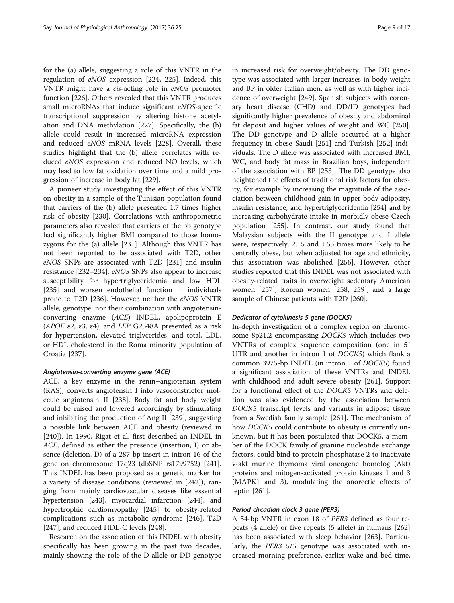for the (a) allele, suggesting a role of this VNTR in the regulation of eNOS expression [[224](#page-15-0), [225\]](#page-15-0). Indeed, this VNTR might have a cis-acting role in eNOS promoter function [[226\]](#page-15-0). Others revealed that this VNTR produces small microRNAs that induce significant eNOS-specific transcriptional suppression by altering histone acetylation and DNA methylation [\[227](#page-15-0)]. Specifically, the (b) allele could result in increased microRNA expression and reduced eNOS mRNA levels [\[228\]](#page-15-0). Overall, these studies highlight that the (b) allele correlates with reduced eNOS expression and reduced NO levels, which may lead to low fat oxidation over time and a mild progression of increase in body fat [\[229](#page-15-0)].

A pioneer study investigating the effect of this VNTR on obesity in a sample of the Tunisian population found that carriers of the (b) allele presented 1.7 times higher risk of obesity [[230\]](#page-15-0). Correlations with anthropometric parameters also revealed that carriers of the bb genotype had significantly higher BMI compared to those homozygous for the (a) allele [\[231\]](#page-16-0). Although this VNTR has not been reported to be associated with T2D, other eNOS SNPs are associated with T2D [\[231\]](#page-16-0) and insulin resistance [[232](#page-16-0)–[234](#page-16-0)]. eNOS SNPs also appear to increase susceptibility for hypertriglyceridemia and low HDL [[235\]](#page-16-0) and worsen endothelial function in individuals prone to T2D [[236](#page-16-0)]. However, neither the eNOS VNTR allele, genotype, nor their combination with angiotensinconverting enzyme (ACE) INDEL, apolipoprotein E (APOE  $\epsilon$ 2,  $\epsilon$ 3,  $\epsilon$ 4), and LEP G2548A presented as a risk for hypertension, elevated triglycerides, and total, LDL, or HDL cholesterol in the Roma minority population of Croatia [[237](#page-16-0)].

## Angiotensin-converting enzyme gene (ACE)

ACE, a key enzyme in the renin–angiotensin system (RAS), converts angiotensin I into vasoconstrictor molecule angiotensin II [[238](#page-16-0)]. Body fat and body weight could be raised and lowered accordingly by stimulating and inhibiting the production of Ang II [[239\]](#page-16-0), suggesting a possible link between ACE and obesity (reviewed in [[240\]](#page-16-0)). In 1990, Rigat et al. first described an INDEL in ACE, defined as either the presence (insertion, I) or absence (deletion, D) of a 287-bp insert in intron 16 of the gene on chromosome 17q23 (dbSNP rs1799752) [\[241](#page-16-0)]. This INDEL has been proposed as a genetic marker for a variety of disease conditions (reviewed in [\[242\]](#page-16-0)), ranging from mainly cardiovascular diseases like essential hypertension [[243](#page-16-0)], myocardial infarction [\[244](#page-16-0)], and hypertrophic cardiomyopathy [\[245\]](#page-16-0) to obesity-related complications such as metabolic syndrome [[246](#page-16-0)], T2D [[247\]](#page-16-0), and reduced HDL-C levels [\[248\]](#page-16-0).

Research on the association of this INDEL with obesity specifically has been growing in the past two decades, mainly showing the role of the D allele or DD genotype in increased risk for overweight/obesity. The DD genotype was associated with larger increases in body weight and BP in older Italian men, as well as with higher incidence of overweight [[249\]](#page-16-0). Spanish subjects with coronary heart disease (CHD) and DD/ID genotypes had significantly higher prevalence of obesity and abdominal fat deposit and higher values of weight and WC [[250](#page-16-0)]. The DD genotype and D allele occurred at a higher frequency in obese Saudi [\[251\]](#page-16-0) and Turkish [\[252](#page-16-0)] individuals. The D allele was associated with increased BMI, WC, and body fat mass in Brazilian boys, independent of the association with BP [[253\]](#page-16-0). The DD genotype also heightened the effects of traditional risk factors for obesity, for example by increasing the magnitude of the association between childhood gain in upper body adiposity, insulin resistance, and hypertriglyceridemia [[254](#page-16-0)] and by increasing carbohydrate intake in morbidly obese Czech population [[255](#page-16-0)]. In contrast, our study found that Malaysian subjects with the II genotype and I allele were, respectively, 2.15 and 1.55 times more likely to be centrally obese, but when adjusted for age and ethnicity, this association was abolished [\[256\]](#page-16-0). However, other studies reported that this INDEL was not associated with obesity-related traits in overweight sedentary American women [\[257\]](#page-16-0), Korean women [[258](#page-16-0), [259](#page-16-0)], and a large sample of Chinese patients with T2D [[260](#page-16-0)].

# Dedicator of cytokinesis 5 gene (DOCK5)

In-depth investigation of a complex region on chromosome 8p21.2 encompassing DOCK5 which includes two VNTRs of complex sequence composition (one in 5′ UTR and another in intron 1 of DOCK5) which flank a common 3975-bp INDEL (in intron 1 of DOCK5) found a significant association of these VNTRs and INDEL with childhood and adult severe obesity [[261](#page-16-0)]. Support for a functional effect of the DOCK5 VNTRs and deletion was also evidenced by the association between DOCK5 transcript levels and variants in adipose tissue from a Swedish family sample [[261\]](#page-16-0). The mechanism of how DOCK5 could contribute to obesity is currently unknown, but it has been postulated that DOCK5, a member of the DOCK family of guanine nucleotide exchange factors, could bind to protein phosphatase 2 to inactivate v-akt murine thymoma viral oncogene homolog (Akt) proteins and mitogen-activated protein kinases 1 and 3 (MAPK1 and 3), modulating the anorectic effects of leptin [\[261\]](#page-16-0).

# Period circadian clock 3 gene (PER3)

A 54-bp VNTR in exon 18 of PER3 defined as four repeats (4 allele) or five repeats (5 allele) in humans [[262](#page-16-0)] has been associated with sleep behavior [[263](#page-16-0)]. Particularly, the PER3 5/5 genotype was associated with increased morning preference, earlier wake and bed time,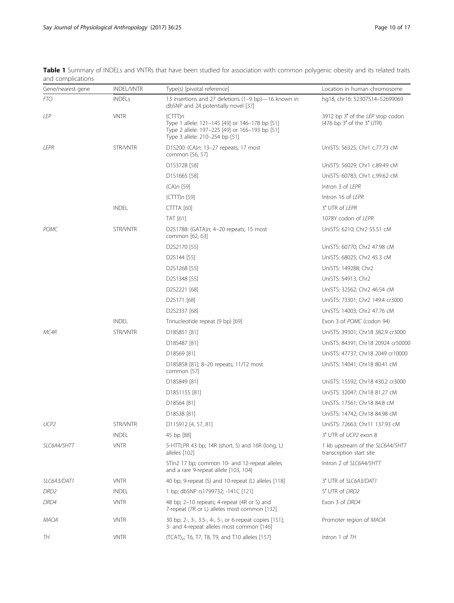<span id="page-9-0"></span>

| Table 1 Summary of INDELs and VNTRs that have been studied for association with common polygenic obesity and its related traits |  |  |  |  |
|---------------------------------------------------------------------------------------------------------------------------------|--|--|--|--|
| and complications                                                                                                               |  |  |  |  |

| and complications |                   |                                                                                                                                               |                                                               |
|-------------------|-------------------|-----------------------------------------------------------------------------------------------------------------------------------------------|---------------------------------------------------------------|
| Gene/nearest gene | <b>INDEL/VNTR</b> | Type(s) [pivotal reference]                                                                                                                   | Location in human chromosome                                  |
| <i>FTO</i>        | <b>INDELs</b>     | 13 insertions and 27 deletions (1–9 bp)—16 known in<br>dbSNP and 24 potentially novel [37]                                                    | hq18, chr16: 52307514-52699069                                |
| LEP               | <b>VNTR</b>       | (CTTDn)<br>Type 1 allele: 121-145 [49] or 146-178 bp [51]<br>Type 2 allele: 197-225 [49] or 165-193 bp [51]<br>Type 3 allele: 210-254 bp [51] | 3912 bp 3' of the LEP stop codon<br>(476 bp 3' of the 3' UTR) |
| LEPR              | STR/VNTR          | D1S200: (CA)n; 13-27 repeats; 17 most<br>common [56, 57]                                                                                      | UniSTS: 56325; Chr1 c.77.73 cM                                |
|                   |                   | D1S3728 [58]                                                                                                                                  | UniSTS: 56029; Chr1 c.89.49 cM                                |
|                   |                   | D1S1665 [58]                                                                                                                                  | UniSTS: 60783; Chr1 c.99.62 cM                                |
|                   |                   | $(CA)n$ [59]                                                                                                                                  | Intron 3 of LEPR                                              |
|                   |                   | $(CTT)$ n [59]                                                                                                                                | Intron 16 of LEPR                                             |
|                   | <b>INDEL</b>      | CTTTA [60]                                                                                                                                    | 3' UTR of LEPR                                                |
|                   |                   | TAT [61]                                                                                                                                      | 1078Y codon of LEPR                                           |
| POMC              | STR/VNTR          | D2S1788: (GATA)n; 4-20 repeats; 15 most<br>common [62, 63]                                                                                    | UniSTS: 6210; Chr2 55.51 cM                                   |
|                   |                   | D2S2170 [55]                                                                                                                                  | UniSTS: 60770; Chr2 47.98 cM                                  |
|                   |                   | D2S144 [55]                                                                                                                                   | UniSTS: 68025; Chr2 45.3 cM                                   |
|                   |                   | D2S1268 [55]                                                                                                                                  | UniSTS: 149288; Chr2                                          |
|                   |                   | D2S1348 [55]                                                                                                                                  | UniSTS: 54913; Chr2                                           |
|                   |                   | D2S2221 [68]                                                                                                                                  | UniSTS: 32562; Chr2 46.54 cM                                  |
|                   |                   | D2S171 [68]                                                                                                                                   | UniSTS: 73301; Chr2 149.4 cr3000                              |
|                   |                   | D2S2337 [68]                                                                                                                                  | UniSTS: 14003; Chr2 47.76 cM                                  |
|                   | <b>INDEL</b>      | Trinucleotide repeat (9 bp) [69]                                                                                                              | Exon 3 of POMC (codon 94)                                     |
| MC4R              | STR/VNTR          | D18S851 [81]                                                                                                                                  | UniSTS: 39301; Chr18 382.9 cr3000                             |
|                   |                   | D18S487 [81]                                                                                                                                  | UniSTS: 84391; Chr18 20924 cr50000                            |
|                   |                   | D18S69 [81]                                                                                                                                   | UniSTS: 47737; Chr18 2049 cr10000                             |
|                   |                   | D18S858 [81]; 8-20 repeats; 11/12 most<br>common [57]                                                                                         | UniSTS: 14041; Chr18 80.41 cM                                 |
|                   |                   | D18S849 [81]                                                                                                                                  | UniSTS: 15592; Chr18 430.2 cr3000                             |
|                   |                   | D18S1155 [81]                                                                                                                                 | UniSTS: 32047; Chr18 81.27 cM                                 |
|                   |                   | D18S64 [81]                                                                                                                                   | UniSTS: 17561; Chr18 84.8 cM                                  |
|                   |                   | D18S38 [81]                                                                                                                                   | UniSTS: 14742; Chr18 84.98 cM                                 |
| UCP2              | STR/VNTR          | D11S912 [4, 57, 81]                                                                                                                           | UniSTS: 72663; Chr11 137.93 cM                                |
|                   | <b>INDEL</b>      | 45 bp [88]                                                                                                                                    | 3' UTR of UCP2 exon 8                                         |
| SLC6A4/5HTT       | <b>VNTR</b>       | 5-HTTLPR 43 bp; 14R (short, S) and 16R (long, L)<br>alleles [102]                                                                             | 1 kb upstream of the SLC6A4/5HTT<br>transcription start site  |
|                   |                   | STin2 17 bp; common 10- and 12-repeat alleles<br>and a rare 9-repeat allele [103, 104]                                                        | Intron 2 of SLC6A4/5HTT                                       |
| SLC6A3/DAT1       | <b>VNTR</b>       | 40 bp; 9-repeat (S) and 10-repeat (L) alleles [118]                                                                                           | 3' UTR of SLC6A3/DAT1                                         |
| DRD <sub>2</sub>  | <b>INDEL</b>      | 1 bp; dbSNP rs1799732; -141C [121]                                                                                                            | 5' UTR of DRD2                                                |
| DRD4              | <b>VNTR</b>       | 48 bp; 2-10 repeats; 4-repeat (4R or S) and<br>7-repeat (7R or L) alleles most common [132]                                                   | Exon 3 of DRD4                                                |
| <b>MAOA</b>       | <b>VNTR</b>       | 30 bp; 2-, 3-, 3.5-, 4-, 5-, or 6-repeat copies [151];<br>3- and 4-repeat alleles most common [146]                                           | Promoter region of MAOA                                       |
| TH                | <b>VNTR</b>       | (TCAT) <sub>n</sub> ; T6, T7, T8, T9, and T10 alleles [157]                                                                                   | Intron 1 of TH                                                |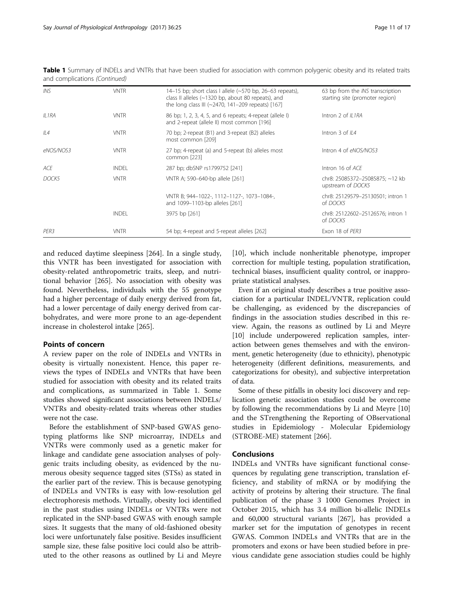| INS           | <b>VNTR</b>  | 14–15 bp; short class I allele $(\sim 570$ bp, 26–63 repeats),<br>class II alleles $(\sim 1320$ bp, about 80 repeats), and<br>the long class III (~2470, 141-209 repeats) [167] | 63 bp from the INS transcription<br>starting site (promoter region) |
|---------------|--------------|---------------------------------------------------------------------------------------------------------------------------------------------------------------------------------|---------------------------------------------------------------------|
| <b>II 1RA</b> | <b>VNTR</b>  | 86 bp; 1, 2, 3, 4, 5, and 6 repeats; 4-repeat (allele I)<br>and 2-repeat (allele II) most common [196]                                                                          | Intron $2$ of $\parallel$ 1RA                                       |
| 4             | <b>VNTR</b>  | 70 bp; 2-repeat (B1) and 3-repeat (B2) alleles<br>most common [209]                                                                                                             | Intron $3$ of $II4$                                                 |
| eNOS/NOS3     | <b>VNTR</b>  | 27 bp; 4-repeat (a) and 5-repeat (b) alleles most<br>common [223]                                                                                                               | Intron 4 of eNOS/NOS3                                               |
| ACE           | <b>INDEL</b> | 287 bp; dbSNP rs1799752 [241]                                                                                                                                                   | Intron 16 of $ACF$                                                  |
| DOCK5         | <b>VNTR</b>  | VNTR A: 590-640-bp allele [261]                                                                                                                                                 | chr8: 25085372-25085875; ~12 kb<br>upstream of DOCK5                |
|               |              | VNTR B: 944-1022-, 1112-1127-, 1073-1084-,<br>and 1099-1103-bp alleles [261]                                                                                                    | chr8: 25129579-25130501; intron 1<br>of DOCK5                       |
|               | <b>INDEL</b> | 3975 bp [261]                                                                                                                                                                   | chr8: 25122602-25126576; intron 1<br>of DOCK5                       |
| PFR3          | <b>VNTR</b>  | 54 bp; 4-repeat and 5-repeat alleles [262]                                                                                                                                      | Exon 18 of PER3                                                     |

Table 1 Summary of INDELs and VNTRs that have been studied for association with common polygenic obesity and its related traits and complications (Continued)

and reduced daytime sleepiness [[264\]](#page-16-0). In a single study, this VNTR has been investigated for association with obesity-related anthropometric traits, sleep, and nutritional behavior [[265](#page-16-0)]. No association with obesity was found. Nevertheless, individuals with the 55 genotype had a higher percentage of daily energy derived from fat, had a lower percentage of daily energy derived from carbohydrates, and were more prone to an age-dependent increase in cholesterol intake [\[265\]](#page-16-0).

# Points of concern

A review paper on the role of INDELs and VNTRs in obesity is virtually nonexistent. Hence, this paper reviews the types of INDELs and VNTRs that have been studied for association with obesity and its related traits and complications, as summarized in Table [1.](#page-9-0) Some studies showed significant associations between INDELs/ VNTRs and obesity-related traits whereas other studies were not the case.

Before the establishment of SNP-based GWAS genotyping platforms like SNP microarray, INDELs and VNTRs were commonly used as a genetic maker for linkage and candidate gene association analyses of polygenic traits including obesity, as evidenced by the numerous obesity sequence tagged sites (STSs) as stated in the earlier part of the review. This is because genotyping of INDELs and VNTRs is easy with low-resolution gel electrophoresis methods. Virtually, obesity loci identified in the past studies using INDELs or VNTRs were not replicated in the SNP-based GWAS with enough sample sizes. It suggests that the many of old-fashioned obesity loci were unfortunately false positive. Besides insufficient sample size, these false positive loci could also be attributed to the other reasons as outlined by Li and Meyre

[[10\]](#page-11-0), which include nonheritable phenotype, improper correction for multiple testing, population stratification, technical biases, insufficient quality control, or inappropriate statistical analyses.

Even if an original study describes a true positive association for a particular INDEL/VNTR, replication could be challenging, as evidenced by the discrepancies of findings in the association studies described in this review. Again, the reasons as outlined by Li and Meyre [[10\]](#page-11-0) include underpowered replication samples, interaction between genes themselves and with the environment, genetic heterogeneity (due to ethnicity), phenotypic heterogeneity (different definitions, measurements, and categorizations for obesity), and subjective interpretation of data.

Some of these pitfalls in obesity loci discovery and replication genetic association studies could be overcome by following the recommendations by Li and Meyre [[10](#page-11-0)] and the STrengthening the Reporting of OBservational studies in Epidemiology - Molecular Epidemiology (STROBE-ME) statement [[266\]](#page-16-0).

# Conclusions

INDELs and VNTRs have significant functional consequences by regulating gene transcription, translation efficiency, and stability of mRNA or by modifying the activity of proteins by altering their structure. The final publication of the phase 3 1000 Genomes Project in October 2015, which has 3.4 million bi-allelic INDELs and 60,000 structural variants [[267\]](#page-16-0), has provided a marker set for the imputation of genotypes in recent GWAS. Common INDELs and VNTRs that are in the promoters and exons or have been studied before in previous candidate gene association studies could be highly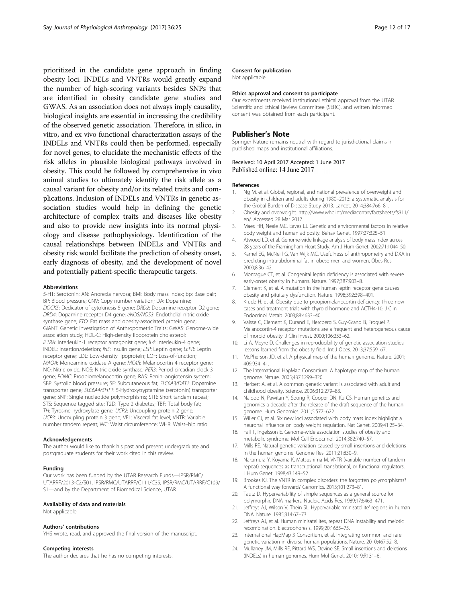<span id="page-11-0"></span>prioritized in the candidate gene approach in finding obesity loci. INDELs and VNTRs would greatly expand the number of high-scoring variants besides SNPs that are identified in obesity candidate gene studies and GWAS. As an association does not always imply causality, biological insights are essential in increasing the credibility of the observed genetic association. Therefore, in silico, in vitro, and ex vivo functional characterization assays of the INDELs and VNTRs could then be performed, especially for novel genes, to elucidate the mechanistic effects of the risk alleles in plausible biological pathways involved in obesity. This could be followed by comprehensive in vivo animal studies to ultimately identify the risk allele as a causal variant for obesity and/or its related traits and complications. Inclusion of INDELs and VNTRs in genetic association studies would help in defining the genetic architecture of complex traits and diseases like obesity and also to provide new insights into its normal physiology and disease pathophysiology. Identification of the causal relationships between INDELs and VNTRs and obesity risk would facilitate the prediction of obesity onset, early diagnosis of obesity, and the development of novel and potentially patient-specific therapeutic targets.

#### Abbreviations

5-HT: Serotonin; AN: Anorexia nervosa; BMI: Body mass index; bp: Base pair; BP: Blood pressure; CNV: Copy number variation; DA: Dopamine; DOCK5: Dedicator of cytokinesis 5 gene; DRD2: Dopamine receptor D2 gene; DRD4: Dopamine receptor D4 gene; eNOS/NOS3: Endothelial nitric oxide synthase gene; FTO: Fat mass and obesity-associated protein gene; GIANT: Genetic Investigation of Anthropometric Traits; GWAS: Genome-wide association study; HDL-C: High-density lipoprotein cholesterol; IL1RA: Interleukin-1 receptor antagonist gene; IL4: Interleukin-4 gene; INDEL: Insertion/deletion; INS: Insulin gene; LEP: Leptin gene; LEPR: Leptin receptor gene; LDL: Low-density lipoprotein; LOF: Loss-of-function; MAOA: Monoamine oxidase A gene; MC4R: Melanocortin 4 receptor gene; NO: Nitric oxide; NOS: Nitric oxide synthase; PER3: Period circadian clock 3 gene; POMC: Proopiomelanocortin gene; RAS: Renin–angiotensin system; SBP: Systolic blood pressure; SF: Subcutaneous fat; SLC6A3/DAT1: Dopamine transporter gene; SLC6A4/5HTT: 5-Hydroxytryptamine (serotonin) transporter gene; SNP: Single nucleotide polymorphisms; STR: Short tandem repeat; STS: Sequence tagged site; T2D: Type 2 diabetes; TBF: Total body fat; TH: Tyrosine hydroxylase gene; UCP2: Uncoupling protein 2 gene; UCP3: Uncoupling protein 3 gene; VFL: Visceral fat level; VNTR: Variable number tandem repeat; WC: Waist circumference; WHR: Waist–hip ratio

#### Acknowledgements

The author would like to thank his past and present undergraduate and postgraduate students for their work cited in this review.

### Funding

Our work has been funded by the UTAR Research Funds—IPSR/RMC/ UTARRF/2013-C2/S01, IPSR/RMC/UTARRF/C111/C35, IPSR/RMC/UTARRF/C109/ S1—and by the Department of Biomedical Science, UTAR.

#### Availability of data and materials

Not applicable.

#### Authors' contributions

YHS wrote, read, and approved the final version of the manuscript.

#### Competing interests

The author declares that he has no competing interests.

### Consent for publication

Not applicable.

#### Ethics approval and consent to participate

Our experiments received institutional ethical approval from the UTAR Scientific and Ethical Review Committee (SERC), and written informed consent was obtained from each participant.

# Publisher's Note

Springer Nature remains neutral with regard to jurisdictional claims in published maps and institutional affiliations.

### Received: 10 April 2017 Accepted: 1 June 2017 Published online: 14 June 2017

#### References

- Ng M, et al. Global, regional, and national prevalence of overweight and obesity in children and adults during 1980–2013: a systematic analysis for the Global Burden of Disease Study 2013. Lancet. 2014;384:766–81.
- 2. Obesity and overweight. [http://www.who.int/mediacentre/factsheets/fs311/](http://www.who.int/mediacentre/factsheets/fs311/en/) [en/](http://www.who.int/mediacentre/factsheets/fs311/en/). Accessed 28 Mar 2017.
- 3. Maes HH, Neale MC, Eaves LJ. Genetic and environmental factors in relative body weight and human adiposity. Behav Genet. 1997;27:325–51.
- 4. Atwood LD, et al. Genome-wide linkage analysis of body mass index across 28 years of the Framingham Heart Study. Am J Hum Genet. 2002;71:1044–50.
- 5. Kamel EG, McNeill G, Van Wijk MC. Usefulness of anthropometry and DXA in predicting intra-abdominal fat in obese men and women. Obes Res. 2000;8:36–42.
- 6. Montague CT, et al. Congenital leptin deficiency is associated with severe early-onset obesity in humans. Nature. 1997;387:903–8.
- 7. Clement K, et al. A mutation in the human leptin receptor gene causes obesity and pituitary dysfunction. Nature. 1998;392:398–401.
- 8. Krude H, et al. Obesity due to proopiomelanocortin deficiency: three new cases and treatment trials with thyroid hormone and ACTH4-10. J Clin Endocrinol Metab. 2003;88:4633–40.
- 9. Vaisse C, Clement K, Durand E, Hercberg S, Guy-Grand B, Froguel P. Melanocortin-4 receptor mutations are a frequent and heterogeneous cause of morbid obesity. J Clin Invest. 2000;106:253–62.
- 10. Li A, Meyre D. Challenges in reproducibility of genetic association studies: lessons learned from the obesity field. Int J Obes. 2013;37:559–67.
- 11. McPherson JD, et al. A physical map of the human genome. Nature. 2001; 409:934–41.
- 12. The International HapMap Consortium. A haplotype map of the human genome. Nature. 2005;437:1299–320.
- 13. Herbert A, et al. A common genetic variant is associated with adult and childhood obesity. Science. 2006;312:279–83.
- 14. Naidoo N, Pawitan Y, Soong R, Cooper DN, Ku CS. Human genetics and genomics a decade after the release of the draft sequence of the human genome. Hum Genomics. 2011;5:577–622.
- 15. Willer CJ, et al. Six new loci associated with body mass index highlight a neuronal influence on body weight regulation. Nat Genet. 2009;41:25–34.
- 16. Fall T, Ingelsson E. Genome-wide association studies of obesity and metabolic syndrome. Mol Cell Endocrinol. 2014;382:740–57.
- 17. Mills RE. Natural genetic variation caused by small insertions and deletions in the human genome. Genome Res. 2011;21:830–9.
- 18. Nakamura Y, Koyama K, Matsushima M. VNTR (variable number of tandem repeat) sequences as transcriptional, translational, or functional regulators. J Hum Genet. 1998;43:149–52.
- 19. Brookes KJ. The VNTR in complex disorders: the forgotten polymorphisms? A functional way forward? Genomics. 2013;101:273–81.
- 20. Tautz D. Hypervariability of simple sequences as a general source for polymorphic DNA markers. Nucleic Acids Res. 1989;17:6463–471.
- 21. Jeffreys AJ, Wilson V, Thein SL. Hypervariable 'minisatellite' regions in human DNA. Nature. 1985;314:67–73.
- 22. Jeffreys AJ, et al. Human minisatellites, repeat DNA instability and meiotic recombination. Electrophoresis. 1999;20:1665–75.
- 23. International HapMap 3 Consortium, et al. Integrating common and rare genetic variation in diverse human populations. Nature. 2010;467:52–8.
- 24. Mullaney JM, Mills RE, Pittard WS, Devine SE. Small insertions and deletions (INDELs) in human genomes. Hum Mol Genet. 2010;19:R131–6.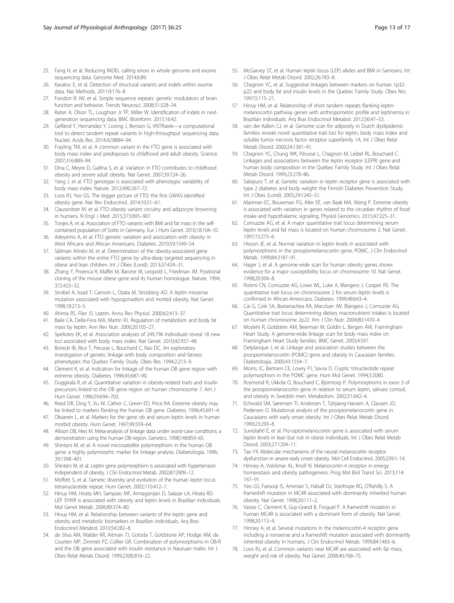- <span id="page-12-0"></span>25. Fang H, et al. Reducing INDEL calling errors in whole genome and exome sequencing data. Genome Med. 2014;6:89.
- 26. Karakoc E, et al. Detection of structural variants and indels within exome data. Nat Methods. 2011;9:176–8.
- 27. Fondon III JW, et al. Simple sequence repeats: genetic modulators of brain function and behavior. Trends Neurosci. 2008;31:328–34.
- 28. Ratan A, Olson TL, Loughran Jr TP, Miller W. Identification of indels in nextgeneration sequencing data. BMC Bioinform. 2015;16:42.
- 29. Gelfand Y, Hernandez Y, Loving J, Benson G. VNTRseek—a computational tool to detect tandem repeat variants in high-throughput sequencing data. Nucleic Acids Res. 2014;42:8884–94.
- 30. Frayling TM, et al. A common variant in the FTO gene is associated with body mass index and predisposes to childhood and adult obesity. Science. 2007;316:889–94.
- 31. Dina C, Meyre D, Gallina S, et al. Variation in FTO contributes to childhood obesity and severe adult obesity. Nat Genet. 2007;39:724–26.
- 32. Yang J, et al. FTO genotype is associated with phenotypic variability of body mass index. Nature. 2012;490:267–72.
- 33. Loos RJ, Yeo GS. The bigger picture of FTO: the first GWAS-identified obesity gene. Nat Rev Endocrinol. 2014;10:51–61.
- 34. Claussnitzer M, et al. FTO obesity variant circuitry and adipocyte browning in humans. N Engl J Med. 2015;373:895–907.
- 35. Tonjes A, et al. Association of FTO variants with BMI and fat mass in the selfcontained population of Sorbs in Germany. Eur J Hum Genet. 2010;18:104–10.
- 36. Adeyemo A, et al. FTO genetic variation and association with obesity in West Africans and African Americans. Diabetes. 2010;59:1549–54.
- 37. Sällman Almén M, et al. Determination of the obesity-associated gene variants within the entire FTO gene by ultra-deep targeted sequencing in obese and lean children. Int J Obes (Lond). 2013;37:424–31.
- 38. Zhang Y, Proenca R, Maffei M, Barone M, Leopold L, Friedman JM. Positional cloning of the mouse obese gene and its human homologue. Nature. 1994; 372:425–32.
- 39. Strobel A, Issad T, Camoin L, Ozata M, Strosberg AD. A leptin missense mutation associated with hypogonadism and morbid obesity. Nat Genet. 1998;18:213–5.
- 40. Ahima RS, Flier JS. Leptin. Annu Rev Physiol. 2000;62:413–37.
- 41. Baile CA, Della-Fera MA, Martin RJ. Regulation of metabolism and body fat mass by leptin. Ann Rev Nutr. 2000;20:105–27.
- 42. Speliotes EK, et al. Association analyses of 249,796 individuals reveal 18 new loci associated with body mass index. Nat Genet. 2010;42:937–48.
- 43. Borecki IB, Rice T, Perusse L, Bouchard C, Rao DC. An exploratory investigation of genetic linkage with body composition and fatness phenotypes: the Quebec Family Study. Obes Res. 1994;2:213–9.
- 44. Clement K, et al. Indication for linkage of the human OB gene region with extreme obesity. Diabetes. 1996;45:687–90.
- 45. Duggirala R, et al. Quantitative variation in obesity-related traits and insulin precursors linked to the OB gene region on human chromosome 7. Am J Hum Genet. 1996;59:694–703.
- 46. Reed DR, Ding Y, Xu W, Cather C, Green ED, Price RA. Extreme obesity may be linked to markers flanking the human OB gene. Diabetes. 1996;45:691–4.
- 47. Oksanen L, et al. Markers for the gene ob and serum leptin levels in human morbid obesity. Hum Genet. 1997;99:559–64.
- 48. Allison DB, Heo M. Meta-analysis of linkage data under worst-case conditions: a demonstration using the human OB region. Genetics. 1998;148:859–65.
- 49. Shintani M, et al. A novel microsatellite polymorphism in the human OB gene: a highly polymorphic marker for linkage analysis. Diabetologia. 1996; 39:1398–401.
- 50. Shintani M, et al. Leptin gene polymorphism is associated with hypertension independent of obesity. J Clin Endocrinol Metab. 2002;87:2909–12.
- 51. Moffett S, et al. Genetic diversity and evolution of the human leptin locus tetranucleotide repeat. Hum Genet. 2002;110:412–7.
- 52. Hinuy HM, Hirata MH, Sampaio MF, Armaganijan D, Salazar LA, Hirata RD. LEP 3'HVR is associated with obesity and leptin levels in Brazilian individuals. Mol Genet Metab. 2006;89:374–80.
- 53. Hinuy HM, et al. Relationship between variants of the leptin gene and obesity and metabolic biomarkers in Brazilian individuals. Arq Bras Endocrinol Metabol. 2010;54:282–8.
- 54. de Silva AM, Walder KR, Aitman TJ, Gotoda T, Goldstone AP, Hodge AM, de Courten MP, Zimmet PZ, Collier GR. Combination of polymorphisms in OB-R and the OB gene associated with insulin resistance in Nauruan males. Int J Obes Relat Metab Disord. 1999;23(8):816–22.
- 55. McGarvey ST, et al. Human leptin locus (LEP) alleles and BMI in Samoans. Int J Obes Relat Metab Disord. 2002;26:783–8.
- 56. Chagnon YC, et al. Suggestive linkages between markers on human 1p32p22 and body fat and insulin levels in the Quebec Family Study. Obes Res. 1997;5:115–21.
- 57. Hinuy HM, et al. Relationship of short tandem repeats flanking leptinmelanocortin pathway genes with anthropometric profile and leptinemia in Brazilian individuals. Arq Bras Endocrinol Metabol. 2012;56:47–53.
- 58. van der Kallen CJ, et al. Genome scan for adiposity in Dutch dyslipidemic families reveals novel quantitative trait loci for leptin, body mass index and soluble tumor necrosis factor receptor superfamily 1A. Int J Obes Relat Metab Disord. 2000;24:1381–91.
- 59. Chagnon YC, Chung WK, Pérusse L, Chagnon M, Leibel RL, Bouchard C. Linkages and associations between the leptin receptor (LEPR) gene and human body composition in the Québec Family Study. Int J Obes Relat Metab Disord. 1999;23:278–86.
- 60. Salopuro T, et al. Genetic variation in leptin receptor gene is associated with type 2 diabetes and body weight: the Finnish Diabetes Prevention Study. Int J Obes (Lond). 2005;29:1245–51.
- 61. Mariman EC, Bouwman FG, Aller EE, van Baak MA, Wang P. Extreme obesity is associated with variation in genes related to the circadian rhythm of food intake and hypothalamic signaling. Physiol Genomics. 2015;47:225–31.
- 62. Comuzzie AG, et al. A major quantitative trait locus determining serum leptin levels and fat mass is located on human chromosome 2. Nat Genet. 1997;15:273–6.
- 63. Hixson JE, et al. Normal variation in leptin levels in associated with polymorphisms in the proopiomelanocortin gene, POMC. J Clin Endocrinol Metab. 1999;84:3187–91.
- 64. Hager J, et al. A genome-wide scan for human obesity genes shows evidence for a major susceptibility locus on chromosome 10. Nat Genet. 1998;20:304–8.
- 65. Rotimi CN, Comuzzie AG, Lowe WL, Luke A, Blangero J, Cooper RS. The quantitative trait locus on chromosome 2 for serum leptin levels is confirmed in African-Americans. Diabetes. 1999;48:643–4.
- 66. Cai G, Cole SA, Bastarrachea RA, Maccluer JW, Blangero J, Comuzzie AG. Quantitative trait locus determining dietary macronutrient intakes is located on human chromosome 2p22. Am J Clin Nutr. 2004;80:1410–4.
- 67. Moslehi R, Goldstein AM, Beerman M, Goldin L, Bergen AW, Framingham Heart Study. A genome-wide linkage scan for body mass index on Framingham Heart Study families. BMC Genet. 2003;4:S97.
- 68. Delplanque J, et al. Linkage and association studies between the proopiomelanocortin (POMC) gene and obesity in Caucasian families. Diabetologia. 2000;43:1554–7.
- 69. Morris JC, Bertram CE, Lowry PJ, Savva D. Cryptic trinucleotide repeat polymorphism in the POMC gene. Hum Mol Genet. 1994;3:2080.
- 70. Rosmond R, Ukkola O, Bouchard C, Björntorp P. Polymorphisms in exon 3 of the proopiomelanocortin gene in relation to serum leptin, salivary cortisol, and obesity in Swedish men. Metabolism. 2002;51:642–4.
- 71. Echwald SM, Sørensen TI, Andersen T, Tybjaerg-Hansen A, Clausen JO, Pedersen O. Mutational analysis of the proopiomelanocortin gene in Caucasians with early onset obesity. Int J Obes Relat Metab Disord. 1999;23:293–8.
- 72. Suviolahti E, et al. Pro-opiomelanocortin gene is associated with serum leptin levels in lean but not in obese individuals. Int J Obes Relat Metab Disord. 2003;27:1204–11.
- 73. Tao YX. Molecular mechanisms of the neural melanocortin receptor dysfunction in severe early onset obesity. Mol Cell Endocrinol. 2005;239:1–14.
- 74. Hinney A, Volckmar AL, Knoll N. Melanocortin-4 receptor in energy homeostasis and obesity pathogenesis. Prog Mol Biol Transl Sci. 2013;114: 147–91.
- 75. Yeo GS, Farooqi IS, Aminian S, Halsall DJ, Stanhope RG, O'Rahilly S. A frameshift mutation in MC4R associated with dominantly inherited human obesity. Nat Genet. 1998;20:111–2.
- 76. Vaisse C, Clement K, Guy-Grand B, Froguel P. A frameshift mutation in human MC4R is associated with a dominant form of obesity. Nat Genet. 1998;20:113–4.
- 77. Hinney A, et al. Several mutations in the melanocortin-4 receptor gene including a nonsense and a frameshift mutation associated with dominantly inherited obesity in humans. J Clin Endocrinol Metab. 1999;84:1483–6.
- 78. Loos RJ, et al. Common variants near MC4R are associated with fat mass, weight and risk of obesity. Nat Genet. 2008;40:768–75.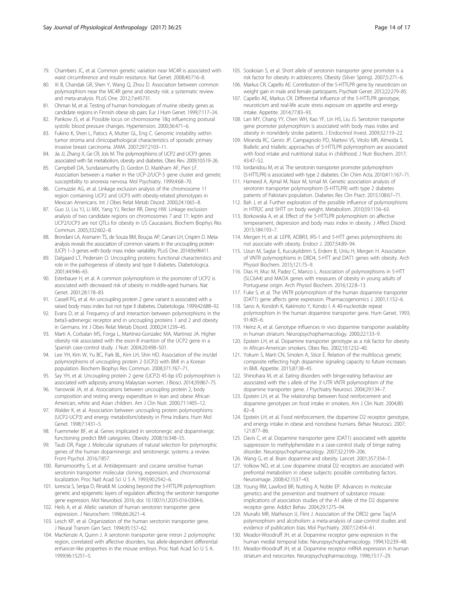- <span id="page-13-0"></span>79. Chambers JC, et al. Common genetic variation near MC4R is associated with waist circumference and insulin resistance. Nat Genet. 2008;40:716–8.
- 80. Xi B, Chandak GR, Shen Y, Wang Q, Zhou D. Association between common polymorphism near the MC4R gene and obesity risk: a systematic review and meta-analysis. PLoS One. 2012;7:e45731.
- 81. Ohman M, et al. Testing of human homologues of murine obesity genes as candidate regions in Finnish obese sib pairs. Eur J Hum Genet. 1999;7:117–24.
- 82. Pankow JS, et al. Possible locus on chromosome 18q influencing postural systolic blood pressure changes. Hypertension. 2000;36:471–6.
- 83. Fukino K, Shen L, Patocs A, Mutter GL, Eng C. Genomic instability within tumor stroma and clinicopathological characteristics of sporadic primary invasive breast carcinoma. JAMA. 2007;297:2103–11.
- 84. Jia JJ, Zhang X, Ge CR, Jois M. The polymorphisms of UCP2 and UCP3 genes associated with fat metabolism, obesity and diabetes. Obes Rev. 2009;10:519–26.
- 85. Campbell DA, Sundaramurthy D, Gordon D, Markham AF, Pieri LF. Association between a marker in the UCP-2/UCP-3 gene cluster and genetic susceptibility to anorexia nervosa. Mol Psychiatry. 1999;4:68–70.
- 86. Comuzzie AG, et al. Linkage exclusion analysis of the chromosome 11 region containing UCP2 and UCP3 with obesity-related phenotypes in Mexican Americans. Int J Obes Relat Metab Disord. 2000;24:1065–8.
- 87. Guo JJ, Liu YJ, Li MX, Yang YJ, Recker RR, Deng HW. Linkage exclusion analysis of two candidate regions on chromosomes 7 and 11: leptin and UCP2/UCP3 are not QTLs for obesity in US Caucasians. Biochem Biophys Res Commun. 2005;332:602–8.
- 88. Brondani LA, Assmann TS, de Souza BM, Bouças AP, Canani LH, Crispim D. Metaanalysis reveals the association of common variants in the uncoupling protein (UCP) 1–3 genes with body mass index variability. PLoS One. 2014;9:e96411.
- 89. Dalgaard LT, Pedersen O. Uncoupling proteins: functional characteristics and role in the pathogenesis of obesity and type II diabetes. Diabetologica. 2001;44:946–65.
- 90. Esterbauer H, et al. A common polymorphism in the promoter of UCP2 is associated with decreased risk of obesity in middle-aged humans. Nat Genet. 2001;28:178–83.
- 91. Cassell PG, et al. An uncoupling protein 2 gene variant is associated with a raised body mass index but not type II diabetes. Diabetologia. 1999;42:688–92.
- 92. Evans D, et al. Frequency of and interaction between polymorphisms in the beta3-adrenergic receptor and in uncoupling proteins 1 and 2 and obesity in Germans. Int J Obes Relat Metab Disord. 2000;24:1239–45.
- 93. Marti A, Corbalan MS, Forga L, Martinez-Gonzalec MA, Martinez JA. Higher obesity risk associated with the exon-8 insertion of the UCP2 gene in a Spanish case-control study. J Nutr. 2004;20:498–501.
- 94. Lee YH, Kim W, Yu BC, Park BL, Kim LH, Shin HD. Association of the ins/del polymorphisms of uncoupling protein 2 (UCP2) with BMI in a Korean population. Biochem Biophys Res Commun. 2008;371:767–71.
- 95. Say YH, et al. Uncoupling protein 2 gene (UCP2) 45-bp I/D polymorphism is associated with adiposity among Malaysian women. J Biosci. 2014;39:867–75.
- 96. Yanowski JA, et al. Associations between uncoupling protein 2, body composition and resting energy expenditure in lean and obese African American, white and Asian children. Am J Clin Nutr. 2000;71:1405–12.
- 97. Walder K, et al. Association between uncoupling protein polymorphisms (UCP2-UCP3) and energy metabolism/obesity in Pima Indians. Hum Mol Genet. 1998;7:1431–5.
- 98. Fuemmeler BF, et al. Genes implicated in serotonergic and dopaminergic functioning predict BMI categories. Obesity. 2008;16:348–55.
- 99. Taub DR, Page J. Molecular signatures of natural selection for polymorphic genes of the human dopaminergic and serotonergic systems: a review. Front Psychol. 2016;7:857.
- 100. Ramamoorthy S, et al. Antidepressant- and cocaine sensitive human serotonin transporter: molecular cloning, expression, and chromosomal localization. Proc Natl Acad Sci U S A. 1993;90:2542–6.
- 101. Iurescia S, Seripa D, Rinaldi M. Looking beyond the 5-HTTLPR polymorphism: genetic and epigenetic layers of regulation affecting the serotonin transporter gene expression. Mol Neurobiol. 2016; doi: [10.1007/s12035-016-0304-6.](http://dx.doi.org/10.1007/s12035-016-0304-6)
- 102. Heils A, et al. Allelic variation of human serotonin transporter gene expression. J Neurochem. 1996;66:2621–4.
- 103. Lesch KP, et al. Organization of the human serotonin transporter gene. J Neural Transm Gen Sect. 1994;95:157–62.
- 104. MacKenzie A, Quinn J. A serotonin transporter gene intron 2 polymorphic region, correlated with affective disorders, has allele-dependent differential enhancer-like properties in the mouse embryo. Proc Natl Acad Sci U S A. 1999;96:15251–5.
- 105. Sookoian S, et al. Short allele of serotonin transporter gene promoter is a risk factor for obesity in adolescents. Obesity (Silver Spring). 2007;5:271–6.
- 106. Markus CR, Capello AE. Contribution of the 5-HTTLPR gene by neuroticism on weight gain in male and female participants. Psychiatr Genet. 2012;22:279–85.
- 107. Capello AE, Markus CR. Differential influence of the 5-HTTLPR genotype, neuroticism and real-life acute stress exposure on appetite and energy intake. Appetite. 2014;77:83–93.
- 108. Lan MY, Chang YY, Chen WH, Kao YF, Lin HS, Liu JS. Serotonin transporter gene promoter polymorphism is associated with body mass index and obesity in nonelderly stroke patients. J Endocrinol Invest. 2009;32:119–22.
- 109. Miranda RC, Genro JP, Campagnolo PD, Mattevi VS, Vitolo MR, Almeida S. Biallelic and triallelic approaches of 5-HTTLPR polymorphism are associated with food intake and nutritional status in childhood. J Nutr Biochem. 2017: 43:47–52.
- 110. Iordanidou M, et al. The serotonin transporter promoter polymorphism (5-HTTLPR) is associated with type 2 diabetes. Clin Chim Acta. 2010;411:167–71.
- 111. Hameed A, Ajmal M, Nasir M, Ismail M. Genetic association analysis of serotonin transporter polymorphism (5-HTTLPR) with type 2 diabetes patients of Pakistani population. Diabetes Res Clin Pract. 2015;108:67–71.
- 112. Bah J, et al. Further exploration of the possible influence of polymorphisms in HTR2C and 5HTT on body weight. Metabolism. 2010;59:1156–63.
- 113. Borkowska A, et al. Effect of the 5-HTTLPR polymorphism on affective temperament, depression and body mass index in obesity. J Affect Disord. 2015;184:193–7.
- 114. Mergen H, et al. LEPR, ADBR3, IRS-1 and 5-HTT genes polymorphisms do not associate with obesity. Endocr J. 2007;54:89–94.
- 115. Uzun M, Saglar E, Kucukyildirim S, Erdem B, Unlu H, Mergen H. Association of VNTR polymorphisms in DRD4, 5-HTT and DAT1 genes with obesity. Arch Physiol Biochem. 2015;121:75–9.
- 116. Dias H, Muc M, Padez C, Manco L. Association of polymorphisms in 5-HTT (SLC6A4) and MAOA genes with measures of obesity in young adults of Portuguese origin. Arch Physiol Biochem. 2016;122:8–13.
- 117. Fuke S, et al. The VNTR polymorphism of the human dopamine transporter (DAT1) gene affects gene expression. Pharmacogenomics J. 2001;1:152–6.
- 118. Sano A, Kondoh K, Kakimoto Y, Kondo I. A 40-nucleotide repeat polymorphism in the human dopamine transporter gene. Hum Genet. 1993; 91:405–6.
- 119. Heinz A, et al. Genotype influences in vivo dopamine transporter availability in human striatum. Neuropsychopharmacology. 2000;22:133–9.
- 120. Epstein LH, et al. Dopamine transporter genotype as a risk factor for obesity in African-American smokers. Obes Res. 2002;10:1232–40.
- 121. Yokum S, Marti CN, Smolen A, Stice E. Relation of the multilocus genetic composite reflecting high dopamine signaling capacity to future increases in BMI. Appetite. 2015;87:38–45.
- 122. Shinohara M, et al. Eating disorders with binge-eating behaviour are associated with the s allele of the 3'-UTR VNTR polymorphism of the dopamine transporter gene. J Psychiatry Neurosci. 2004;29:134–7.
- 123. Epstein LH, et al. The relationship between food reinforcement and dopamine genotypes on food intake in smokers. Am J Clin Nutr. 2004;80: 82–8.
- 124. Epstein LH, et al. Food reinforcement, the dopamine D2 receptor genotype, and energy intake in obese and nonobese humans. Behav Neurosci. 2007; 121:877–86.
- 125. Davis C, et al. Dopamine transporter gene (DAT1) associated with appetite suppression to methylphenidate in a case-control study of binge eating disorder. Neuropsychopharmacology. 2007;32:2199–206.
- 126. Wang G, et al. Brain dopamine and obesity. Lancet. 2001;357:354–7.
- 127. Volkow ND, et al. Low dopamine striatal D2 receptors are associated with prefrontal metabolism in obese subjects: possible contributing factors. Neuroimage. 2008;42:1537–43.
- 128. Young RM, Lawford BR, Nutting A, Noble EP. Advances in molecular genetics and the prevention and treatment of substance misuse: implications of association studies of the A1 allele of the D2 dopamine receptor gene. Addict Behav. 2004;29:1275–94.
- 129. Munafo MR, Matheson IJ, Flint J. Association of the DRD2 gene Taq1A polymorphism and alcoholism: a meta-analysis of case-control studies and evidence of publication bias. Mol Psychiatry. 2007;12:454–61.
- 130. Meador-Woodruff JH, et al. Dopamine receptor gene expression in the human medial temporal lobe. Neuropsychopharmacology. 1994;10:239–48.
- 131. Meador-Woodruff JH, et al. Dopamine receptor mRNA expression in human striatum and neocortex. Neuropsychopharmacology. 1996;15:17–29.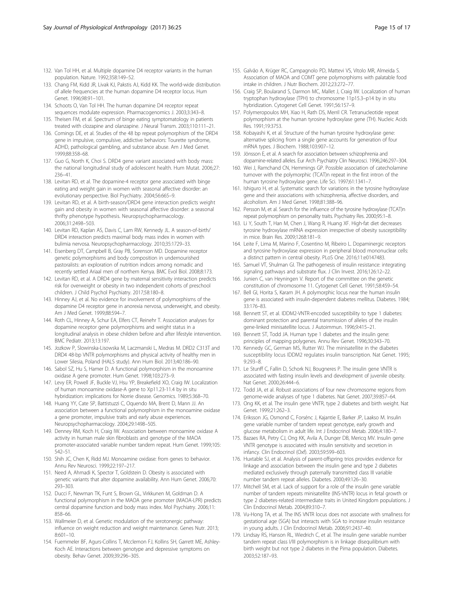- <span id="page-14-0"></span>132. Van Tol HH, et al. Multiple dopamine D4 receptor variants in the human population. Nature. 1992;358:149–52.
- 133. Chang FM, Kidd JR, Livak KJ, Pakstis AJ, Kidd KK. The world-wide distribution of allele frequencies at the human dopamine D4 receptor locus. Hum Genet. 1996;98:91–101.
- 134. Schoots O, Van Tol HH. The human dopamine D4 receptor repeat sequences modulate expression. Pharmacogenomics J. 2003;3:343–8.
- 135. Theisen FM, et al. Spectrum of binge eating symptomatology in patients treated with clozapine and olanzapine. J Neural Transm. 2003;110:111–21.
- 136. Comings DE, et al. Studies of the 48 bp repeat polymorphism of the DRD4 gene in impulsive, compulsive, addictive behaviors: Tourette syndrome, ADHD, pathological gambling, and substance abuse. Am J Med Genet. 1999;88:358–68.
- 137. Guo G, North K, Choi S. DRD4 gene variant associated with body mass: the national longitudinal study of adolescent health. Hum Mutat. 2006;27: 236–41.
- 138. Levitan RD, et al. The dopamine-4 receptor gene associated with binge eating and weight gain in women with seasonal affective disorder: an evolutionary perspective. Biol Psychiatry. 2004;56:665–9.
- 139. Levitan RD, et al. A birth-season/DRD4 gene interaction predicts weight gain and obesity in women with seasonal affective disorder: a seasonal thrifty phenotype hypothesis. Neuropsychopharmacology. 2006;31:2498–503.
- 140. Levitan RD, Kaplan AS, Davis C, Lam RW, Kennedy JL. A season-of-birth/ DRD4 interaction predicts maximal body mass index in women with bulimia nervosa. Neuropsychopharmacology. 2010;35:1729–33.
- 141. Eisenberg DT, Campbell B, Gray PB, Sorenson MD. Dopamine receptor genetic polymorphisms and body composition in undernourished pastoralists: an exploration of nutrition indices among nomadic and recently settled Ariaal men of northern Kenya. BMC Evol Biol. 2008;8:173.
- 142. Levitan RD, et al. A DRD4 gene by maternal sensitivity interaction predicts risk for overweight or obesity in two independent cohorts of preschool children. J Child Psychol Psychiatry. 2017;58:180–8.
- 143. Hinney AJ, et al. No evidence for involvement of polymorphisms of the dopamine D4 receptor gene in anorexia nervosa, underweight, and obesity. Am J Med Genet. 1999;88:594–7.
- 144. Roth CL, Hinney A, Schur EA, Elfers CT, Reinehr T. Association analyses for dopamine receptor gene polymorphisms and weight status in a longitudinal analysis in obese children before and after lifestyle intervention. BMC Pediatr. 2013;13:197.
- 145. Jozkow P, Slowinska-Lisowska M, Laczmanski L, Medras M. DRD2 C313T and DRD4 48-bp VNTR polymorphisms and physical activity of healthy men in Lower Silesia, Poland (HALS study). Ann Hum Biol. 2013;40:186–90.
- 146. Sabol SZ, Hu S, Hamer D. A functional polymorphism in the monoamine oxidase A gene promoter. Hum Genet. 1998;103:273–9.
- 147. Levy ER, Powell JF, Buckle VJ, Hsu YP, Breakefield XO, Craig IW. Localization of human monoamine oxidase-A gene to Xp11.23-11.4 by in situ hybridization: implications for Norrie disease. Genomics. 1989;5:368–70.
- 148. Huang YY, Cate SP, Battistuzzi C, Oquendo MA, Brent D, Mann JJ. An association between a functional polymorphism in the monoamine oxidase a gene promoter, impulsive traits and early abuse experiences. Neuropsychopharmacology. 2004;29:1498–505.
- 149. Denney RM, Koch H, Craig IW. Association between monoamine oxidase A activity in human male skin fibroblasts and genotype of the MAOA promoter-associated variable number tandem repeat. Hum Genet. 1999;105: 542–51.
- 150. Shih JC, Chen K, Ridd MJ. Monoamine oxidase: from genes to behavior. Annu Rev Neurosci. 1999;22:197–217.
- 151. Need A, Ahmadi K, Spector T, Goldstein D. Obesity is associated with genetic variants that alter dopamine availability. Ann Hum Genet. 2006;70: 293–303.
- 152. Ducci F, Newman TK, Funt S, Brown GL, Virkkunen M, Goldman D. A functional polymorphism in the MAOA gene promoter (MAOA-LPR) predicts central dopamine function and body mass index. Mol Psychiatry. 2006;11: 858–66.
- 153. Wallmeier D, et al. Genetic modulation of the serotonergic pathway: influence on weight reduction and weight maintenance. Genes Nutr. 2013; 8:601–10.
- 154. Fuemmeler BF, Agurs-Collins T, Mcclernon FJ, Kollins SH, Garrett ME, Ashley-Koch AE. Interactions between genotype and depressive symptoms on obesity. Behav Genet. 2009;39:296–305.
- 155. Galvão A, Krüger RC, Campagnolo PD, Mattevi VS, Vitolo MR, Almeida S. Association of MAOA and COMT gene polymorphisms with palatable food intake in children. J Nutr Biochem. 2012;23:272–77.
- 156. Craig SP, Boularand S, Darmon MC, Mallet J, Craig IW. Localization of human tryptophan hydroxylase (TPH) to chromosome 11p15.3–p14 by in situ hybridization. Cytogenet Cell Genet. 1991;56:157–9.
- 157. Polymeropoulos MH, Xiao H, Rath DS, Merril CR. Tetranucleotide repeat polymorphism at the human tyrosine hydroxylase gene (TH). Nucleic Acids Res. 1991;19:3753.
- 158. Kobayashi K, et al. Structure of the human tyrosine hydroxylase gene: alternative splicing from a single gene accounts for generation of four mRNA types. J Biochem. 1988;103:907–12.
- 159. Jönsson E, et al. A search for association between schizophrenia and dopamine-related alleles. Eur Arch Psychiatry Clin Neurosci. 1996;246:297–304.
- 160. Wei J, Ramchand CN, Hemmings GP. Possible association of catecholamine turnover with the polymorphic (TCAT)n repeat in the first intron of the human tyrosine hydroxylase gene. Life Sci. 1997;61:1341–7.
- 161. Ishiguro H, et al. Systematic search for variations in the tyrosine hydroxylase gene and their associations with schizophrenia, affective disorders, and alcoholism. Am J Med Genet. 1998;81:388–96.
- 162. Persson M, et al. Search for the influence of the tyrosine hydroxylase (TCAT)n repeat polymorphism on personality traits. Psychiatry Res. 2000;95:1–8.
- 163. Li Y, South T, Han M, Chen J, Wang R, Huang XF. High-fat diet decreases tyrosine hydroxylase mRNA expression irrespective of obesity susceptibility in mice. Brain Res. 2009;1268:181–9.
- 164. Leite F, Lima M, Marino F, Cosentino M, Ribeiro L. Dopaminergic receptors and tyrosine hydroxylase expression in peripheral blood mononuclear cells: a distinct pattern in central obesity. PLoS One. 2016;11:e0147483.
- 165. Samuel VT, Shulman GI. The pathogenesis of insulin resistance: integrating signaling pathways and substrate flux. J Clin Invest. 2016;126:12–22.
- 166. Junien C, van Heyningen V. Report of the committee on the genetic constitution of chromosome 11. Cytogenet Cell Genet. 1991;58:459–54.
- 167. Bell GI, Horita S, Karam JH. A polymorphic locus near the human insulin gene is associated with insulin-dependent diabetes mellitus. Diabetes. 1984; 33:176–83.
- 168. Bennett ST, et al. IDDM2-VNTR-encoded susceptibility to type 1 diabetes: dominant protection and parental transmission of alleles of the insulin gene-linked minisatellite locus. J Autoimmun. 1996;9:415–21.
- 169. Bennett ST, Todd JA. Human type 1 diabetes and the insulin gene: principles of mapping polygenes. Annu Rev Genet. 1996;30:343–70.
- 170. Kennedy GC, German MS, Rutter WJ. The minisatellite in the diabetes susceptibility locus IDDM2 regulates insulin transcription. Nat Genet. 1995; 9:293–8.
- 171. Le Stunff C, Fallin D, Schork NJ, Bougneres P. The insulin gene VNTR is associated with fasting insulin levels and development of juvenile obesity. Nat Genet. 2000;26:444–6.
- 172. Todd JA, et al. Robust associations of four new chromosome regions from genome-wide analyses of type 1 diabetes. Nat Genet. 2007;39:857–64.
- 173. Ong KK, et al. The insulin gene VNTR, type 2 diabetes and birth weight. Nat Genet. 1999;21:262–3.
- 174. Eriksson JG, Osmond C, Forsénc J, Kajantie E, Barker JP, Laakso M. Insulin gene variable number of tandem repeat genotype, early growth and glucose metabolism in adult life. Int J Endocrinol Metab. 2006;4:180–7.
- 175. Bazaes RA, Petry CJ, Ong KK, Avila A, Dunger DB, Mericq MV. Insulin gene VNTR genotype is associated with insulin sensitivity and secretion in infancy. Clin Endocrinol (Oxf). 2003;59:599–603.
- 176. Huxtable SJ, et al. Analysis of parent-offspring trios provides evidence for linkage and association between the insulin gene and type 2 diabetes mediated exclusively through paternally transmitted class III variable number tandem repeat alleles. Diabetes. 2000;49:126–30.
- 177. Mitchell SM, et al. Lack of support for a role of the insulin gene variable number of tandem repeats minisatellite (INS-VNTR) locus in fetal growth or type 2 diabetes-related intermediate traits in United Kingdom populations. J Clin Endocrinol Metab. 2004;89:310–7.
- 178. Vu-Hong TA, et al. The INS VNTR locus does not associate with smallness for gestational age (SGA) but interacts with SGA to increase insulin resistance in young adults. J Clin Endocrinol Metab. 2006;91:2437–40.
- 179. Lindsay RS, Hanson RL, Wiedrich C, et al. The insulin gene variable number tandem repeat class I/III polymorphism is in linkage disequilibrium with birth weight but not type 2 diabetes in the Pima population. Diabetes. 2003;52:187–93.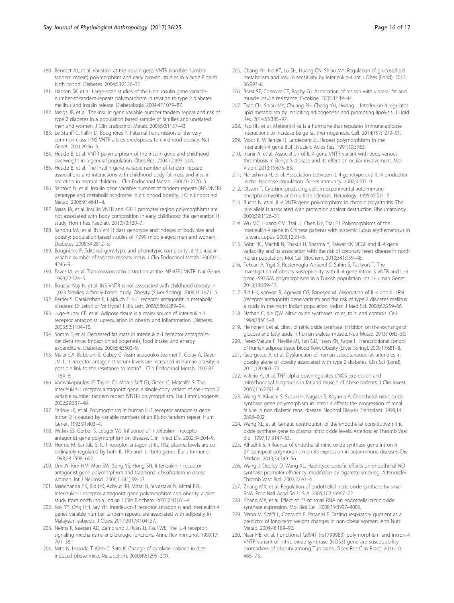- <span id="page-15-0"></span>180. Bennett AJ, et al. Variation at the insulin gene VNTR (variable number tandem repeat) polymorphism and early growth: studies in a large Finnish birth cohort. Diabetes. 2004;53:2126–31.
- 181. Hansen SK, et al. Large-scale studies of the HphI insulin gene variablenumber-of-tandem-repeats polymorphism in relation to type 2 diabetes mellitus and insulin release. Diabetologia. 2004;47:1079–87.
- 182. Meigs JB, et al. The insulin gene variable number tandem repeat and risk of type 2 diabetes in a population based sample of families and unrelated men and women. J Clin Endocrinol Metab. 2005;90:1137–43.
- 183. Le Stunff C, Fallin D, Bougnères P. Paternal transmission of the very common class I INS VNTR alleles predisposes to childhood obesity. Nat Genet. 2001;29:96–9.
- 184. Heude B, et al. VNTR polymorphism of the insulin gene and childhood overweight in a general population. Obes Res. 2004;12:499–504.
- 185. Heude B, et al. The insulin gene variable number of tandem repeat: associations and interactions with childhood body fat mass and insulin secretion in normal children. J Clin Endocrinol Metab. 2006;91:2770–5.
- 186. Santoro N, et al. Insulin gene variable number of tandem repeats (INS VNTR) genotype and metabolic syndrome in childhood obesity. J Clin Endocrinol Metab. 2006;91:4641–4.
- 187. Maas JA, et al. Insulin VNTR and IGF-1 promoter region polymorphisms are not associated with body composition in early childhood: the generation R study. Horm Res Paediatr. 2010;73:120–7.
- 188. Sandhu MS, et al. INS VNTR class genotype and indexes of body size and obesity: population-based studies of 7,999 middle-aged men and women. Diabetes. 2005;54:2812–5.
- 189. Bougnères P. Editorial: genotypic and phenotypic complexity at the insulin variable number of tandem repeats locus. J Clin Endocrinol Metab. 2006;91: 4246–9.
- 190. Eaves IA, et al. Transmission ratio distortion at the INS-IGF2 VNTR. Nat Genet. 1999;22:324–5.
- 191. Bouatia-Naji N, et al. INS VNTR is not associated with childhood obesity in 1,023 families: a family-based study. Obesity (Silver Spring). 2008;16:1471–5.
- 192. Perrier S, Darakhshan F, Hajduch E. IL-1 receptor antagonist in metabolic diseases: Dr Jekyll or Mr Hyde? FEBS Lett. 2006;580:6289–94.
- 193. Juge-Aubry CE, et al. Adipose tissue is a major source of interleukin-1 receptor antagonist: upregulation in obesity and inflammation. Diabetes. 2003;52:1104–10.
- 194. Somm E, et al. Decreased fat mass in interleukin-1 receptor antagonistdeficient mice: impact on adipogenesis, food intake, and energy expenditure. Diabetes. 2005;54:3503–9.
- 195. Meier CA, Bobbioni E, Gabay C, Assimacopoulos-Jeannet F, Golay A, Dayer JM. IL-1 receptor antagonist serum levels are increased in human obesity: a possible link to the resistance to leptin? J Clin Endocrinol Metab. 2002;87: 1184–8.
- 196. Vamvakopoulos JE, Taylor CJ, Morris-Stiff GJ, Green C, Metcalfe S. The interleukin-1 receptor antagonist gene: a single-copy variant of the intron 2 variable number tandem repeat (VNTR) polymorphism. Eur J Immunogenet. 2002;29:337–40.
- 197. Tarlow JK, et al. Polymorphism in human IL-1 receptor antagonist gene intron 2 is caused by variable numbers of an 86-bp tandem repeat. Hum Genet. 1993;91:403–4.
- 198. Witkin SS, Gerber S, Ledger WJ. Influence of interleukin-1 receptor antagonist gene polymorphism on disease. Clin Infect Dis. 2002;34:204–9.
- 199. Hurme M, Santtila S. IL-1 receptor antagonist (IL-1Ra) plasma levels are coordinately regulated by both IL-1Ra and IL-1beta genes. Eur J Immunol. 1998;28:2598–602.
- 200. Um JY, Kim HM, Mun SW, Song YS, Hong SH. Interleukin-1 receptor antagonist gene polymorphism and traditional classification in obese women. Int J Neurosci. 2006;116(1):39–53.
- 201. Manchanda PK, Bid HK, Achyut BR, Mittal B, Srivastava N, Mittal RD. Interleukin-1 receptor antagonist gene polymorphism and obesity: a pilot study from north India. Indian J Clin Biochem. 2007;22(1):61–4.
- 202. Kok YY, Ong HH, Say YH. Interleukin-1 receptor antagonist and interleukin-4 genes variable number tandem repeats are associated with adiposity in Malaysian subjects. J Obes. 2017;2017:4104137.
- 203. Nelms K, Keegan AD, Zamorano J, Ryan JJ, Paul WE. The IL-4 receptor: signaling mechanisms and biologic functions. Annu Rev Immunol. 1999;17: 701–38.
- 204. Mito N, Hosoda T, Kato C, Sato K. Change of cytokine balance in dietinduced obese mice. Metabolism. 2000;49:1295–300.
- 205. Chang YH, Ho KT, Lu SH, Huang CN, Shiau MY. Regulation of glucose/lipid metabolism and insulin sensitivity by interleukin-4. Int J Obes (Lond). 2012; 36:993–8.
- 206. Borst SE, Conover CF, Bagby GJ. Association of resistin with visceral fat and muscle insulin resistance. Cytokine. 2005;32:39–44.
- 207. Tsao CH, Shiau MY, Chuang PH, Chang YH, Hwang J. Interleukin-4 regulates lipid metabolism by inhibiting adipogenesis and promoting lipolysis. J Lipid Res. 2014;55:385–97.
- 208. Rao RR, et al. Meteorin-like is a hormone that regulates immune-adipose interactions to increase beige fat thermogenesis. Cell. 2014;157:1279–91.
- 209. Mout R, Willemze R, Landegent JE. Repeat polymorphisms in the interleukin-4 gene (IL4). Nucleic Acids Res. 1991;19:3763.
- 210. Inanir A, et al. Association of IL-4 gene VNTR variant with deep venous thrombosis in Behçet's disease and its effect on ocular involvement. Mol Vision. 2013;19:675–83.
- 211. Nakashima H, et al. Association between IL-4 genotype and IL-4 production in the Japanese population. Genes Immunity. 2002;3:107–9.
- 212. Olsson T. Cytokine-producing cells in experimental autoimmune encephalomyelitis and multiple sclerosis. Neurology. 1995;45:S11–5.
- 213. Buchs N, et al. IL-4 VNTR gene polymorphism in chronic polyarthritis. The rare allele is associated with protection against destruction. Rheumatology. 2000;39:1126–31.
- 214. Wu MC, Huang CM, Tsai JJ, Chen HY, Tsai FJ. Polymorphisms of the interleukin-4 gene in Chinese patients with systemic lupus erythematosus in Taiwan. Lupus. 2003;12:21–5.
- 215. Sobti RC, Maithil N, Thakur H, Sharma Y, Talwar KK. VEGF and IL-4 gene variability and its association with the risk of coronary heart disease in north Indian population. Mol Cell Biochem. 2010;341:139–48.
- 216. Tekcan A, Yigit S, Rustemoglu A, Gurel C, Sahin S, Tasliyurt T. The investigation of obesity susceptibility with IL-4 gene intron 3 VNTR and IL-6 gene -597G/A polymorphisms in a Turkish population. Int J Human Genet. 2013;13:209–13.
- 217. Bid HK, Konwar R, Agrawal CG, Banerjee M. Association of IL-4 and IL-1RN (receptor antagonist) gene variants and the risk of type 2 diabetes mellitus: a study in the north Indian population. Indian J Med Sci. 2008;62:259–66.
- 218. Nathan C, Xie QW. Nitric oxide synthases: roles, tolls, and controls. Cell. 1994;78:915–8.
- 219. Heinonen I, et al. Effect of nitric oxide synthase inhibition on the exchange of glucose and fatty acids in human skeletal muscle. Nutr Metab. 2013;10:43–50.
- 220. Perez-Matute P, Neville MJ, Tan GD, Frayn KN, Karpe F. Transcriptional control of human adipose tissue blood flow. Obesity (Silver Spring). 2009;17:681–8.
- 221. Georgescu A, et al. Dysfunction of human subcutaneous fat arterioles in obesity alone or obesity associated with type 2 diabetes. Clin Sci (Lond). 2011;120:463–72.
- 222. Valerio A, et al. TNF-alpha downregulates eNOS expression and mitochondrial biogenesis in fat and muscle of obese rodents. J Clin Invest. 2006;116:2791–8.
- 223. Wang Y, Kikuchi S, Suzuki H, Nagase S, Koyama A. Endothelial nitric oxide synthase gene polymorphism in intron 4 affects the progression of renal failure in non diabetic renal disease. Nephrol Dialysis Transplant. 1999;14: 2898–902.
- 224. Wang XL, et al. Genetic contribution of the endothelial constitutive nitric oxide synthase gene to plasma nitric oxide levels. Arterioscler Thromb Vasc Biol. 1997;17:3147–53.
- 225. AlFadhli S. Influence of endothelial nitric oxide synthase gene intron-4 27 bp repeat polymorphism on its expression in autoimmune diseases. Dis Markers. 2013;34:349–56.
- 226. Wang J, Dudley D, Wang XL. Haplotype-specific effects on endothelial NO synthase promoter efficiency: modifiable by cigarette smoking. Arterioscler Thromb Vasc Biol. 2002;22:e1–4.
- 227. Zhang MX, et al. Regulation of endothelial nitric oxide synthase by small RNA. Proc Natl Acad Sci U S A. 2005;102:16967–72.
- 228. Zhang MX, et al. Effect of 27 nt small RNA on endothelial nitric oxide synthase expression. Mol Biol Cell. 2008;19:3997–4005.
- 229. Marra M, Scalfi L, Contaldo F, Pasanisi F. Fasting respiratory quotient as a predictor of long-term weight changes in non-obese women. Ann Nutr Metab. 2004;48:189–92.
- 230. Nasr HB, et al. Functional G894T (rs1799983) polymorphism and intron-4 VNTR variant of nitric oxide synthase (NOS3) gene are susceptibility biomarkers of obesity among Tunisians. Obes Res Clin Pract. 2016;10: 465–75.